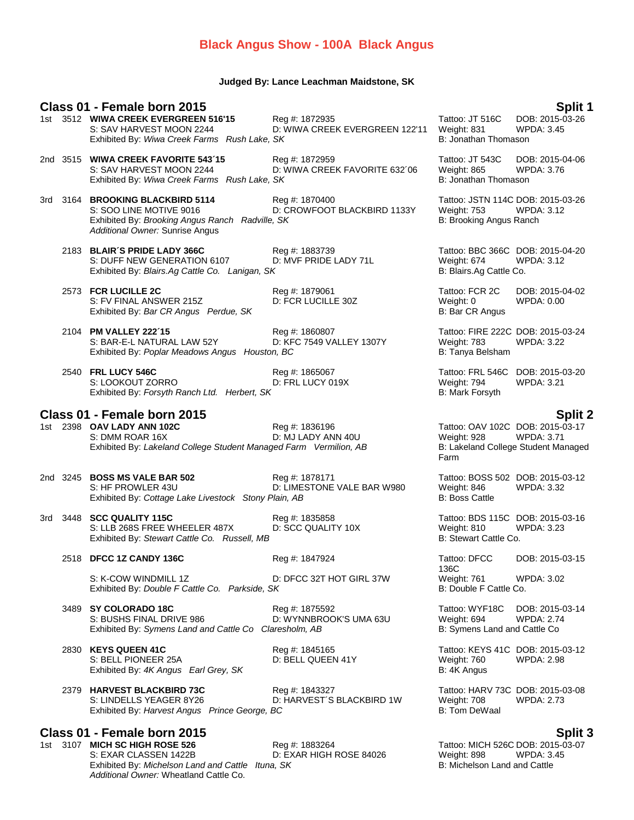## **Black Angus Show - 100A Black Angus**

## **Judged By: Lance Leachman Maidstone, SK**

## **Class 01 - Female born 2015 Split 1** 1st 3512 **WIWA CREEK EVERGREEN 516'15** Reg #: 1872935 Tattoo: JT 516C DOB: 2015-0<br>14.5 SAV HARVEST MOON 2244 D: WIWA CREEK EVERGREEN 122'11 Weight: 831 WPDA: 3.45 S: SAV HARVEST MOON 2244 D: WIWA CREEK EVERGREEN 122'11 Weight: 831 Exhibited By: *Wiwa Creek Farms Rush Lake, SK* B: Jonathan Thomason 2nd 3515 **WIWA CREEK FAVORITE 543´15** Reg #: 1872959 Tattoo: JT 543C DOB: 2015-04-06 S: SAV HARVEST MOON 2244 D: WIWA CREEK FAVORITE 632´06 Weight: 865 WPDA: 3.76 Exhibited By: *Wiwa Creek Farms Rush Lake, SK* B: Jonathan Thomason 3rd 3164 **BROOKING BLACKBIRD 5114** Reg #: 1870400 Tattoo: JSTN 114C DOB: 2015-03-26 S: SOO LINE MOTIVE 9016 D: CROWFOOT BLACKBIRD 1133Y Weight: 753 WPDA: 3.12 Exhibited By: *Brooking Angus Ranch Radville, SK* **B: Brooking Angus Ranch** *Radville, SK* B: Brooking Angus Ranch *Additional Owner:* Sunrise Angus 2183 **BLAIR´S PRIDE LADY 366C** Reg #: 1883739 Tattoo: BBC 366C DOB: 2015-04-20 S: DUFF NEW GENERATION 6107 D: MVF PRIDE LADY 71L Weight: 674 WF PRIDE LADY 71L Shibited By: Blairs.Ag Cattle Co. Lanigan, SK Exhibited By: Blairs.Ag Cattle Co. Lanigan, SK 2573 **FCR LUCILLE 2C** Reg #: 1879061 Reg 2015-04-02<br>
2573 **FCR LUCILLE 302** Tattoo: FCR 2C DOB: 2015-04-02<br>
25: FV FINAL ANSWER 215Z D: FCR LUCILLE 30Z Weight: 0 WPDA: 0.00 S: FV FINAL ANSWER 215Z Exhibited By: *Bar CR Angus Perdue, SK* B: Bar CR Angus Perdue, SK 2104 **PM VALLEY 222´15** Reg #: 1860807 Reg 2015-03-24<br>2104 **PM VALLEY 222C DOB: 2015-03-24** S: BAR-E-L NATURAL LAW 52Y D: KFC 7549 VALLEY 1307Y Weight: 783 WPDA: 3.22 S: BAR-E-L NATURAL LAW 52Y D: KFC 7549 VALLEY 1307Y Weight: 783 WPDA: 3.22 Exhibited By: *Poplar Meadows Angus Houston, BC* B: Tanya Belsham B: Tanya Belsham 2540 **FRL LUCY 546C** Reg #: 1865067 Tattoo: FRL 546C DOB: 2015-03-20 S: LOOKOUT ZORRO D: FRL LUCY 019X Weight: 794 WPDA: 3.21 Exhibited By: Forsyth Ranch Ltd. Herbert, SK **Class 01 - Female born 2015 Split 2** Reg #: 1836196 Tattoo: OAV 102C DOB: 2015-03-17 S: DMM ROAR 16X D: MJ LADY ANN 40U Weight: 928 WPDA: 3.71 Exhibited By: Lakeland College Student Managed Farm Vermilion, AB Farm 2nd 3245 **BOSS MS VALE BAR 502** Reg #: 1878171 **Tattoo: BOSS 502 DOB: 2015-03-12**<br>S: HF PROWLER 43U **D: LIMESTONE VALE BAR W980** Weight: 846 WPDA: 3.32 S: HF PROWLER 43U D: LIMESTONE VALE BAR W980 Weight: 846<br>Exhibited By: Cottage Lake Livestock Stony Plain. AB BAICHT B: Boss Cattle Exhibited By: Cottage Lake Livestock Stony Plain, AB 3rd 3448 **SCC QUALITY 115C** Reg #: 1835858 Tattoo: BDS 115C DOB: 2015-03-16<br>S: LLB 268S FREE WHEELER 487X D: SCC QUALITY 10X Weight: 810 WPDA: 3.23 S: LLB 268S FREE WHEELER 487X Exhibited By: *Stewart Cattle Co. Russell, MB* B: Stewart Cattle Co. **Russell**, MB 2518 **DFCC 1Z CANDY 136C** Reg #: 1847924 Tattoo: DFCC 136C DOB: 2015-03-15 S: K-COW WINDMILL 1Z **D: DFCC 32T HOT GIRL 37W** Weight: 761 WPDA: 3.02<br>Exhibited By: *Double F Cattle Co. Parkside. SK* B: Double F Cattle Co. Exhibited By: *Double F Cattle Co. Parkside, SK* 3489 **SY COLORADO 18C** Reg #: 1875592 Tattoo: WYF18C DOB: 2015-03-14 S: BUSHS FINAL DRIVE 986 **DIGENEY BY DE WYNNBROOK'S UMA 63U** Weight: 694 WPDA: 2.74 Exhibited By: *Symens Land and Cattle Co Claresholm, AB* B: Symens Land and Cattle Co Claresholm, AB 2830 **KEYS QUEEN 41C** Reg #: 1845165 Tattoo: KEYS 41C DOB: 2015-03-12 S: BELL PIONEER 25A D: BELL QUEEN 41Y Weight: 760 WPDA: 2.98 Exhibited By: 4K Angus Earl Grey, SK B: 4K Angus B: 4K Angus 2379 **HARVEST BLACKBIRD 73C** Reg #: 1843327 Tattoo: HARV 73C DOB: 2015-03-08 S: LINDELLS YEAGER 8Y26 D: HARVEST'S BLACKBIRD 1W Weight: 708 WPDA: 2.73 Exhibited By: *Harvest Angus Prince George, BC* B: Tom DeWaal **Class 01 - Female born 2015 Split 3 19 MICH SC HIGH ROSE 526** Reg #: 1883264 Tattoo: MICH 526C DOB: 2015-03-07<br>19 S: EXAR CLASSEN 1422B D: EXAR HIGH ROSE 84026 Weight: 898 WPDA: 3.45 D: EXAR HIGH ROSE 84026 Weight: 898 WPDA: 3.45 Exhibited By: *Michelson Land and Cattle Ituna, SK* B: Michelson Land and Cattle **B:** Michelson Land and Cattle

*Additional Owner:* Wheatland Cattle Co.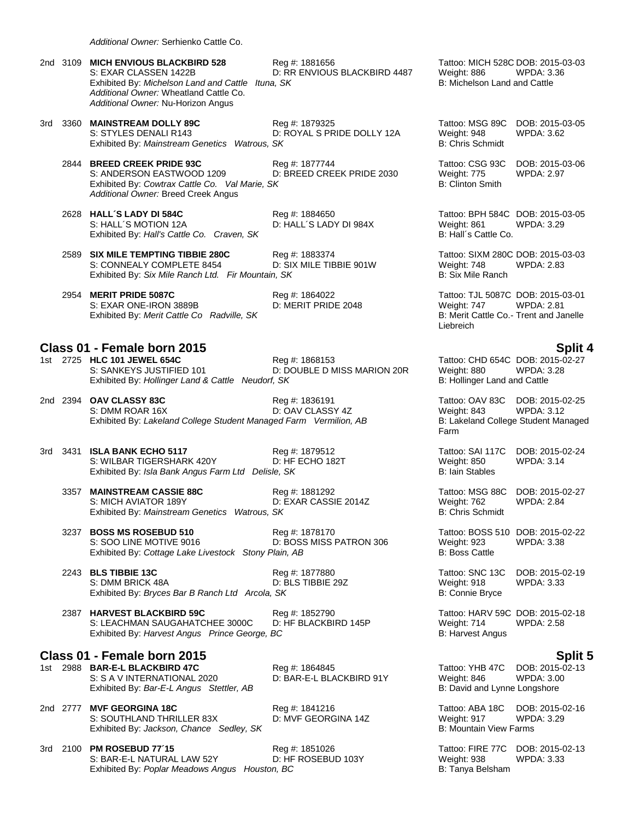*Additional Owner:* Serhienko Cattle Co.

Exhibited By: Poplar Meadows Angus Houston, BC

|     | 2nd 3109 MICH ENVIOUS BLACKBIRD 528<br>S: EXAR CLASSEN 1422B<br>Exhibited By: Michelson Land and Cattle Ituna, SK<br>Additional Owner: Wheatland Cattle Co.<br>Additional Owner: Nu-Horizon Angus | Reg #: 1881656<br>D: RR ENVIOUS BLACKBIRD 4487 | Tattoo: MICH 528C DOB: 2015-03-03<br>Weight: 886<br>B: Michelson Land and Cattle                        | WPDA: 3.36                                                                  |
|-----|---------------------------------------------------------------------------------------------------------------------------------------------------------------------------------------------------|------------------------------------------------|---------------------------------------------------------------------------------------------------------|-----------------------------------------------------------------------------|
|     | 3rd 3360 MAINSTREAM DOLLY 89C<br>S: STYLES DENALI R143<br>Exhibited By: Mainstream Genetics Watrous, SK                                                                                           | Reg #: 1879325<br>D: ROYAL S PRIDE DOLLY 12A   | Tattoo: MSG 89C<br>Weight: 948<br><b>B: Chris Schmidt</b>                                               | DOB: 2015-03-05<br>WPDA: 3.62                                               |
|     | 2844 BREED CREEK PRIDE 93C<br>S: ANDERSON EASTWOOD 1209<br>Exhibited By: Cowtrax Cattle Co. Val Marie, SK<br>Additional Owner: Breed Creek Angus                                                  | Reg #: 1877744<br>D: BREED CREEK PRIDE 2030    | Tattoo: CSG 93C<br>Weight: 775<br><b>B: Clinton Smith</b>                                               | DOB: 2015-03-06<br><b>WPDA: 2.97</b>                                        |
|     | 2628 HALL'S LADY DI 584C<br>S: HALL'S MOTION 12A<br>Exhibited By: Hall's Cattle Co. Craven, SK                                                                                                    | Reg #: 1884650<br>D: HALL'S LADY DI 984X       | Tattoo: BPH 584C DOB: 2015-03-05<br>Weight: 861<br>B: Hall's Cattle Co.                                 | WPDA: 3.29                                                                  |
|     | 2589 SIX MILE TEMPTING TIBBIE 280C<br>S: CONNEALY COMPLETE 8454<br>Exhibited By: Six Mile Ranch Ltd. Fir Mountain, SK                                                                             | Reg #: 1883374<br>D: SIX MILE TIBBIE 901W      | Tattoo: SIXM 280C DOB: 2015-03-03<br>Weight: 748<br>B: Six Mile Ranch                                   | <b>WPDA: 2.83</b>                                                           |
|     | 2954 MERIT PRIDE 5087C<br>S: EXAR ONE-IRON 3889B<br>Exhibited By: Merit Cattle Co Radville, SK                                                                                                    | Reg #: 1864022<br>D: MERIT PRIDE 2048          | Tattoo: TJL 5087C DOB: 2015-03-01<br>Weight: 747<br>B: Merit Cattle Co.- Trent and Janelle<br>Liebreich | <b>WPDA: 2.81</b>                                                           |
|     | Class 01 - Female born 2015                                                                                                                                                                       |                                                |                                                                                                         | <b>Split 4</b>                                                              |
|     | 1st 2725 HLC 101 JEWEL 654C<br>S: SANKEYS JUSTIFIED 101<br>Exhibited By: Hollinger Land & Cattle Neudorf, SK                                                                                      | Reg #: 1868153<br>D: DOUBLE D MISS MARION 20R  | Tattoo: CHD 654C DOB: 2015-02-27<br>Weight: 880<br>B: Hollinger Land and Cattle                         | <b>WPDA: 3.28</b>                                                           |
|     | 2nd 2394 OAV CLASSY 83C<br>S: DMM ROAR 16X<br>Exhibited By: Lakeland College Student Managed Farm Vermilion, AB                                                                                   | Reg #: 1836191<br>D: OAV CLASSY 4Z             | Tattoo: OAV 83C<br>Weight: 843<br>Farm                                                                  | DOB: 2015-02-25<br><b>WPDA: 3.12</b><br>B: Lakeland College Student Managed |
|     | 3rd 3431 ISLA BANK ECHO 5117<br>S: WILBAR TIGERSHARK 420Y<br>Exhibited By: Isla Bank Angus Farm Ltd Delisle, SK                                                                                   | Reg #: 1879512<br>D: HF ECHO 182T              | Tattoo: SAI 117C<br>Weight: 850<br><b>B: Iain Stables</b>                                               | DOB: 2015-02-24<br>WPDA: 3.14                                               |
|     | 3357 MAINSTREAM CASSIE 88C<br>S: MICH AVIATOR 189Y<br>Exhibited By: Mainstream Genetics Watrous, SK                                                                                               | Reg #: 1881292<br>D: EXAR CASSIE 2014Z         | Tattoo: MSG 88C<br>Weight: 762<br><b>B: Chris Schmidt</b>                                               | DOB: 2015-02-27<br><b>WPDA: 2.84</b>                                        |
|     | 3237 BOSS MS ROSEBUD 510<br>S: SOO LINE MOTIVE 9016<br>Exhibited By: Cottage Lake Livestock Stony Plain, AB                                                                                       | Reg #: 1878170<br>D: BOSS MISS PATRON 306      | Tattoo: BOSS 510 DOB: 2015-02-22<br>Weight: 923<br><b>B: Boss Cattle</b>                                | <b>WPDA: 3.38</b>                                                           |
|     | 2243 BLS TIBBIE 13C<br>S: DMM BRICK 48A<br>Exhibited By: Bryces Bar B Ranch Ltd Arcola, SK                                                                                                        | Reg #: 1877880<br>D: BLS TIBBIE 29Z            | Tattoo: SNC 13C<br>Weight: 918<br>B: Connie Bryce                                                       | DOB: 2015-02-19<br>WPDA: 3.33                                               |
|     | 2387 HARVEST BLACKBIRD 59C<br>S: LEACHMAN SAUGAHATCHEE 3000C<br>Exhibited By: Harvest Angus Prince George, BC                                                                                     | Reg #: 1852790<br>D: HF BLACKBIRD 145P         | Tattoo: HARV 59C DOB: 2015-02-18<br>Weight: 714<br><b>B: Harvest Angus</b>                              | WPDA: 2.58                                                                  |
|     | Class 01 - Female born 2015                                                                                                                                                                       |                                                |                                                                                                         | <b>Split 5</b>                                                              |
| 1st | 2988 BAR-E-L BLACKBIRD 47C<br>S: S A V INTERNATIONAL 2020<br>Exhibited By: Bar-E-L Angus Stettler, AB                                                                                             | Reg #: 1864845<br>D: BAR-E-L BLACKBIRD 91Y     | Tattoo: YHB 47C<br>Weight: 846<br>B: David and Lynne Longshore                                          | DOB: 2015-02-13<br><b>WPDA: 3.00</b>                                        |
|     | 2nd 2777 MVF GEORGINA 18C<br>S: SOUTHLAND THRILLER 83X<br>Exhibited By: Jackson, Chance Sedley, SK                                                                                                | Reg #: 1841216<br>D: MVF GEORGINA 14Z          | Tattoo: ABA 18C<br>Weight: 917<br><b>B: Mountain View Farms</b>                                         | DOB: 2015-02-16<br>WPDA: 3.29                                               |
| 3rd | 2100 PM ROSEBUD 77'15<br>$C1$ DAD EI NATHDAI LAM EQV                                                                                                                                              | Reg #: 1851026<br>D. LIE DOCEDI IN 102V        | Tattoo: FIRE 77C<br>$M\sim hH$ 020                                                                      | DOB: 2015-02-13<br>MDDA.222                                                 |

S: BAR-E-L NATURAL LAW 52Y D: HF ROSEBUD 103Y Weight: 938 WPDA: 3.33<br>
Exhibited By: Poplar Meadows Angus Houston, BC B: Tanya Belsham B: Tanya Belsham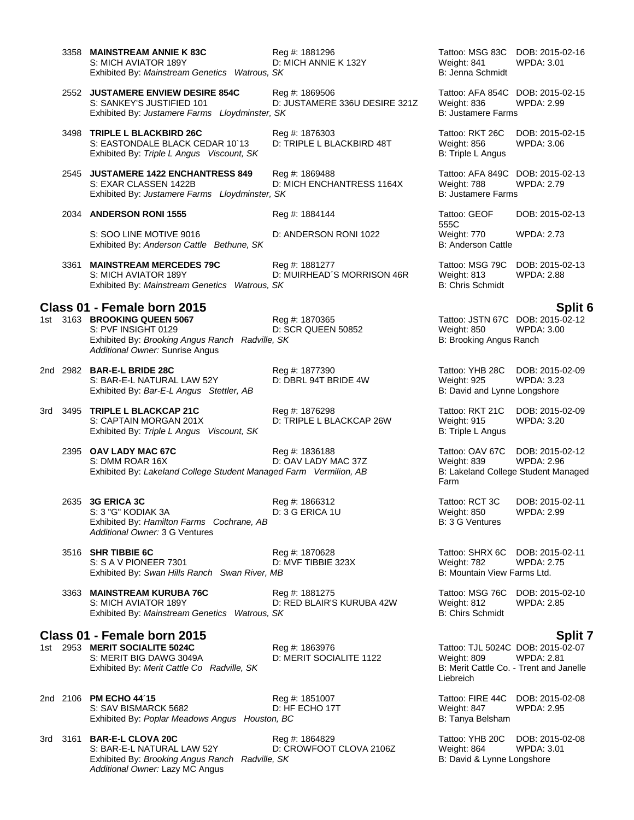|          | 3358 MAINSTREAM ANNIE K 83C<br>S: MICH AVIATOR 189Y<br>Exhibited By: Mainstream Genetics Watrous, SK                                                                     | Reg #: 1881296<br>D: MICH ANNIE K 132Y          | Tattoo: MSG 83C<br>Weight: 841<br>B: Jenna Schmidt                                                       | DOB: 2015-02-16<br><b>WPDA: 3.01</b> |
|----------|--------------------------------------------------------------------------------------------------------------------------------------------------------------------------|-------------------------------------------------|----------------------------------------------------------------------------------------------------------|--------------------------------------|
|          | 2552 JUSTAMERE ENVIEW DESIRE 854C<br>S: SANKEY'S JUSTIFIED 101<br>Exhibited By: Justamere Farms Lloydminster, SK                                                         | Reg #: 1869506<br>D: JUSTAMERE 336U DESIRE 321Z | Tattoo: AFA 854C DOB: 2015-02-15<br>Weight: 836<br><b>B: Justamere Farms</b>                             | <b>WPDA: 2.99</b>                    |
|          | 3498 TRIPLE L BLACKBIRD 26C<br>S: EASTONDALE BLACK CEDAR 10 13<br>Exhibited By: Triple L Angus Viscount, SK                                                              | Reg #: 1876303<br>D: TRIPLE L BLACKBIRD 48T     | Tattoo: RKT 26C<br>Weight: 856<br>B: Triple L Angus                                                      | DOB: 2015-02-15<br><b>WPDA: 3.06</b> |
|          | 2545 JUSTAMERE 1422 ENCHANTRESS 849<br>S: EXAR CLASSEN 1422B<br>Exhibited By: Justamere Farms Lloydminster, SK                                                           | Reg #: 1869488<br>D: MICH ENCHANTRESS 1164X     | Tattoo: AFA 849C<br>Weight: 788<br><b>B: Justamere Farms</b>                                             | DOB: 2015-02-13<br><b>WPDA: 2.79</b> |
|          | 2034 ANDERSON RONI 1555                                                                                                                                                  | Reg #: 1884144                                  | Tattoo: GEOF<br>555C                                                                                     | DOB: 2015-02-13                      |
|          | S: SOO LINE MOTIVE 9016<br>Exhibited By: Anderson Cattle Bethune, SK                                                                                                     | D: ANDERSON RONI 1022                           | Weight: 770<br><b>B: Anderson Cattle</b>                                                                 | <b>WPDA: 2.73</b>                    |
|          | 3361 MAINSTREAM MERCEDES 79C<br>S: MICH AVIATOR 189Y<br>Exhibited By: Mainstream Genetics Watrous, SK                                                                    | Reg #: 1881277<br>D: MUIRHEAD'S MORRISON 46R    | Tattoo: MSG 79C<br>Weight: 813<br><b>B: Chris Schmidt</b>                                                | DOB: 2015-02-13<br><b>WPDA: 2.88</b> |
|          | Class 01 - Female born 2015<br>1st 3163 BROOKING QUEEN 5067<br>S: PVF INSIGHT 0129<br>Exhibited By: Brooking Angus Ranch Radville, SK<br>Additional Owner: Sunrise Angus | Reg #: 1870365<br>D: SCR QUEEN 50852            | Tattoo: JSTN 67C DOB: 2015-02-12<br>Weight: 850<br>B: Brooking Angus Ranch                               | Split 6<br><b>WPDA: 3.00</b>         |
| 2nd 2982 | <b>BAR-E-L BRIDE 28C</b><br>S: BAR-E-L NATURAL LAW 52Y<br>Exhibited By: Bar-E-L Angus Stettler, AB                                                                       | Reg #: 1877390<br>D: DBRL 94T BRIDE 4W          | Tattoo: YHB 28C<br>Weight: 925<br>B: David and Lynne Longshore                                           | DOB: 2015-02-09<br><b>WPDA: 3.23</b> |
|          | 3rd 3495 TRIPLE L BLACKCAP 21C<br>S: CAPTAIN MORGAN 201X<br>Exhibited By: Triple L Angus Viscount, SK                                                                    | Reg #: 1876298<br>D: TRIPLE L BLACKCAP 26W      | Tattoo: RKT 21C<br>Weight: 915<br>B: Triple L Angus                                                      | DOB: 2015-02-09<br><b>WPDA: 3.20</b> |
|          | 2395 OAV LADY MAC 67C<br>S: DMM ROAR 16X<br>Exhibited By: Lakeland College Student Managed Farm Vermilion, AB                                                            | Reg #: 1836188<br>D: OAV LADY MAC 37Z           | Tattoo: OAV 67C<br>Weight: 839<br>B: Lakeland College Student Managed<br>Farm                            | DOB: 2015-02-12<br><b>WPDA: 2.96</b> |
|          | 2635 3G ERICA 3C<br>S: 3 "G" KODIAK 3A<br>Exhibited By: Hamilton Farms Cochrane, AB<br>Additional Owner: 3 G Ventures                                                    | Reg #: 1866312<br>D: 3 G ERICA 1U               | Tattoo: RCT 3C<br>Weight: 850<br>B: 3 G Ventures                                                         | DOB: 2015-02-11<br>WPDA: 2.99        |
|          | 3516 SHR TIBBIE 6C<br>S: S A V PIONEER 7301<br>Exhibited By: Swan Hills Ranch Swan River, MB                                                                             | Reg #: 1870628<br>D: MVF TIBBIE 323X            | Tattoo: SHRX 6C<br>Weight: 782<br>B: Mountain View Farms Ltd.                                            | DOB: 2015-02-11<br><b>WPDA: 2.75</b> |
|          | 3363 MAINSTREAM KURUBA 76C<br>S: MICH AVIATOR 189Y<br>Exhibited By: Mainstream Genetics Watrous, SK                                                                      | Reg #: 1881275<br>D: RED BLAIR'S KURUBA 42W     | Tattoo: MSG 76C<br>Weight: 812<br><b>B: Chirs Schmidt</b>                                                | DOB: 2015-02-10<br><b>WPDA: 2.85</b> |
|          | Class 01 - Female born 2015                                                                                                                                              |                                                 |                                                                                                          | <b>Split 7</b>                       |
|          | 1st 2953 MERIT SOCIALITE 5024C<br>S: MERIT BIG DAWG 3049A<br>Exhibited By: Merit Cattle Co Radville, SK                                                                  | Reg #: 1863976<br>D: MERIT SOCIALITE 1122       | Tattoo: TJL 5024C DOB: 2015-02-07<br>Weight: 809<br>B: Merit Cattle Co. - Trent and Janelle<br>Liebreich | <b>WPDA: 2.81</b>                    |
| 2nd 2106 | <b>PM ECHO 44'15</b><br>S: SAV BISMARCK 5682<br>Exhibited By: Poplar Meadows Angus Houston, BC                                                                           | Reg #: 1851007<br>D: HF ECHO 17T                | Tattoo: FIRE 44C<br>Weight: 847<br>B: Tanya Belsham                                                      | DOB: 2015-02-08<br><b>WPDA: 2.95</b> |
|          | 3rd 3161 BAR-E-L CLOVA 20C<br>S: BAR-E-L NATURAL LAW 52Y<br>Exhibited By: Brooking Angus Ranch Radville, SK<br>Additional Owner: Lazy MC Angus                           | Reg #: 1864829<br>D: CROWFOOT CLOVA 2106Z       | Tattoo: YHB 20C<br>Weight: 864<br>B: David & Lynne Longshore                                             | DOB: 2015-02-08<br><b>WPDA: 3.01</b> |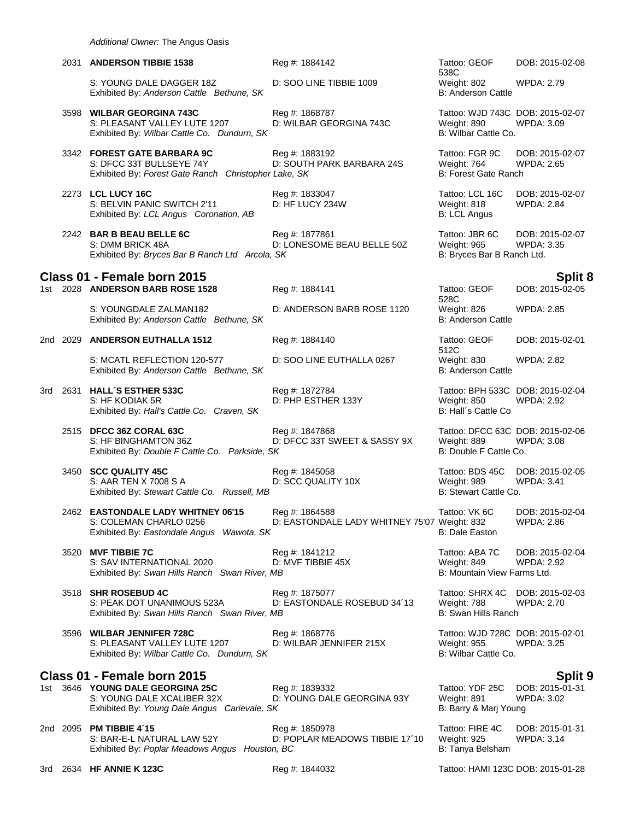|       | 2031 ANDERSON TIBBIE 1538                                                                                       | Reg #: 1884142                                                 | Tattoo: GEOF<br>538C                                                           | DOB: 2015-02-08                      |
|-------|-----------------------------------------------------------------------------------------------------------------|----------------------------------------------------------------|--------------------------------------------------------------------------------|--------------------------------------|
|       | S: YOUNG DALE DAGGER 18Z<br>Exhibited By: Anderson Cattle Bethune, SK                                           | D: SOO LINE TIBBIE 1009                                        | Weight: 802<br><b>B: Anderson Cattle</b>                                       | WPDA: 2.79                           |
|       | 3598 WILBAR GEORGINA 743C<br>S: PLEASANT VALLEY LUTE 1207<br>Exhibited By: Wilbar Cattle Co. Dundurn, SK        | Reg #: 1868787<br>D: WILBAR GEORGINA 743C                      | Tattoo: WJD 743C DOB: 2015-02-07<br>Weight: 890<br>B: Wilbar Cattle Co.        | <b>WPDA: 3.09</b>                    |
|       | 3342 FOREST GATE BARBARA 9C<br>S: DFCC 33T BULLSEYE 74Y<br>Exhibited By: Forest Gate Ranch Christopher Lake, SK | Reg #: 1883192<br>D: SOUTH PARK BARBARA 24S                    | Tattoo: FGR 9C<br>Weight: 764<br><b>B: Forest Gate Ranch</b>                   | DOB: 2015-02-07<br><b>WPDA: 2.65</b> |
|       | 2273 LCL LUCY 16C<br>S: BELVIN PANIC SWITCH 2'11<br>Exhibited By: LCL Angus Coronation, AB                      | Reg #: 1833047<br>D: HF LUCY 234W                              | Tattoo: LCL 16C<br>Weight: 818<br><b>B: LCL Angus</b>                          | DOB: 2015-02-07<br>WPDA: 2.84        |
|       | 2242 BAR B BEAU BELLE 6C<br>S: DMM BRICK 48A<br>Exhibited By: Bryces Bar B Ranch Ltd Arcola, SK                 | Reg #: 1877861<br>D: LONESOME BEAU BELLE 50Z                   | Tattoo: JBR 6C<br>Weight: 965<br>B: Bryces Bar B Ranch Ltd.                    | DOB: 2015-02-07<br><b>WPDA: 3.35</b> |
|       | Class 01 - Female born 2015                                                                                     |                                                                |                                                                                | Split 8                              |
|       | 1st 2028 ANDERSON BARB ROSE 1528                                                                                | Reg #: 1884141                                                 | Tattoo: GEOF<br>528C                                                           | DOB: 2015-02-05                      |
|       | S: YOUNGDALE ZALMAN182<br>Exhibited By: Anderson Cattle Bethune, SK                                             | D: ANDERSON BARB ROSE 1120                                     | Weight: 826<br><b>B: Anderson Cattle</b>                                       | <b>WPDA: 2.85</b>                    |
|       | 2nd 2029 ANDERSON EUTHALLA 1512                                                                                 | Reg #: 1884140                                                 | Tattoo: GEOF<br>512C                                                           | DOB: 2015-02-01                      |
|       | S: MCATL REFLECTION 120-577<br>Exhibited By: Anderson Cattle Bethune, SK                                        | D: SOO LINE EUTHALLA 0267                                      | Weight: 830<br>B: Anderson Cattle                                              | <b>WPDA: 2.82</b>                    |
| 3rd - | 2631 HALL'S ESTHER 533C<br>S: HF KODIAK 5R<br>Exhibited By: Hall's Cattle Co. Craven, SK                        | Reg #: 1872784<br>D: PHP ESTHER 133Y                           | Tattoo: BPH 533C DOB: 2015-02-04<br>Weight: 850<br>B: Hall's Cattle Co         | <b>WPDA: 2.92</b>                    |
|       | 2515 DFCC 36Z CORAL 63C<br>S: HF BINGHAMTON 36Z<br>Exhibited By: Double F Cattle Co. Parkside, SK               | Reg #: 1847868<br>D: DFCC 33T SWEET & SASSY 9X                 | Tattoo: DFCC 63C DOB: 2015-02-06<br>Weight: 889<br>B: Double F Cattle Co.      | <b>WPDA: 3.08</b>                    |
|       | 3450 SCC QUALITY 45C<br>S: AAR TEN X 7008 S A<br>Exhibited By: Stewart Cattle Co. Russell, MB                   | Reg #: 1845058<br>D: SCC QUALITY 10X                           | Tattoo: BDS 45C<br>Weight: 989<br>B: Stewart Cattle Co.                        | DOB: 2015-02-05<br><b>WPDA: 3.41</b> |
|       | 2462 EASTONDALE LADY WHITNEY 06'15<br>S: COLEMAN CHARLO 0256<br>Exhibited By: Eastondale Angus Wawota, SK       | Reg #: 1864588<br>D: EASTONDALE LADY WHITNEY 75'07 Weight: 832 | Tattoo: VK 6C<br><b>B: Dale Easton</b>                                         | DOB: 2015-02-04<br>WPDA: 2.86        |
|       | 3520 MVF TIBBIE 7C<br>S: SAV INTERNATIONAL 2020<br>Exhibited By: Swan Hills Ranch Swan River, MB                | Reg #: 1841212<br>D: MVF TIBBIE 45X                            | Tattoo: ABA 7C<br>Weight: 849<br>B: Mountain View Farms Ltd.                   | DOB: 2015-02-04<br><b>WPDA: 2.92</b> |
|       | 3518 SHR ROSEBUD 4C<br>S: PEAK DOT UNANIMOUS 523A<br>Exhibited By: Swan Hills Ranch Swan River, MB              | Reg #: 1875077<br>D: EASTONDALE ROSEBUD 34'13                  | Tattoo: SHRX 4C DOB: 2015-02-03<br>Weight: 788<br>B: Swan Hills Ranch          | WPDA: 2.70                           |
|       | 3596 WILBAR JENNIFER 728C<br>S: PLEASANT VALLEY LUTE 1207<br>Exhibited By: Wilbar Cattle Co. Dundurn, SK        | Reg #: 1868776<br>D: WILBAR JENNIFER 215X                      | Tattoo: WJD 728C DOB: 2015-02-01<br><b>Weight: 955</b><br>B: Wilbar Cattle Co. | <b>WPDA: 3.25</b>                    |
|       | Class 01 - Female born 2015                                                                                     |                                                                |                                                                                | Split 9                              |
|       | 1st 3646 YOUNG DALE GEORGINA 25C<br>S: YOUNG DALE XCALIBER 32X<br>Exhibited By: Young Dale Angus Carievale, SK  | Reg #: 1839332<br>D: YOUNG DALE GEORGINA 93Y                   | Tattoo: YDF 25C<br>Weight: 891<br>B: Barry & Marj Young                        | DOB: 2015-01-31<br>WPDA: 3.02        |
|       | 2nd 2095 PM TIBBIE 4'15<br>S: BAR-E-L NATURAL LAW 52Y<br>Exhibited By: Poplar Meadows Angus Houston, BC         | Reg #: 1850978<br>D: POPLAR MEADOWS TIBBIE 17'10               | Tattoo: FIRE 4C<br><b>Weight: 925</b><br>B: Tanya Belsham                      | DOB: 2015-01-31<br>WPDA: 3.14        |

3rd 2634 **HF ANNIE K 123C** Reg #: 1844032 Tattoo: HAMI 123C DOB: 2015-01-28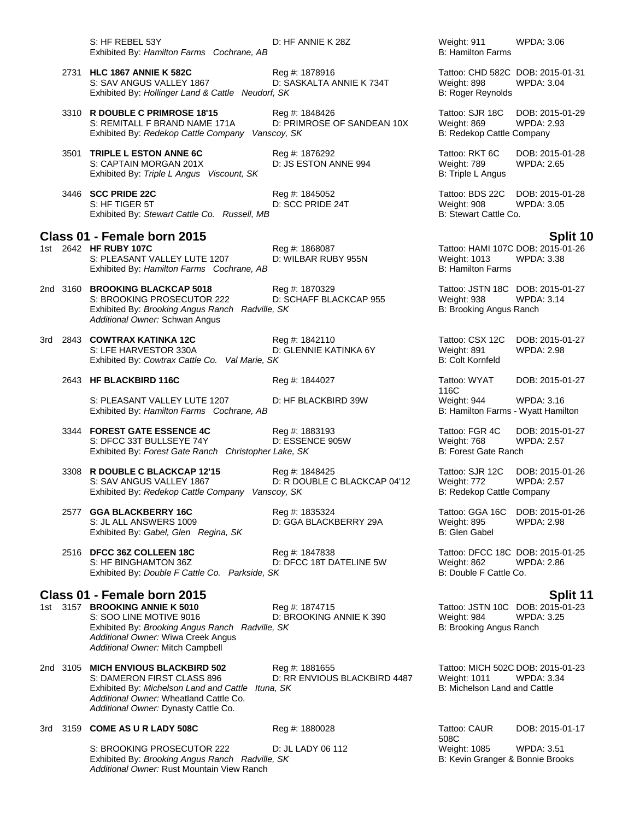S: HF REBEL 53Y **D: HF ANNIE K 28Z** Weight: 911 WPDA: 3.06<br>
Exhibited By: Hamilton Farms Cochrane. AB<br>
B: Hamilton Farms Exhibited By: Hamilton Farms Cochrane, AB

2731 **HLC 1867 ANNIE K 582C** Reg #: 1878916 Tattoo: CHD 582C DOB: 2015-01-31 S: SAV ANGUS VALLEY 1867 D: SASKALTA ANNIE K 734T Weight: 898 WPDA: 3.04 Exhibited By: *Hollinger Land & Cattle Neudorf, SK* B: Roger Reynolds

3310 **R DOUBLE C PRIMROSE 18'15** Reg #: 1848426 Tattoo: SJR 18C DOB: 2015-01-29 S: REMITALL F BRAND NAME 171A D: PRIMROSE OF SANDEAN 10X Weight: 869 WPDA: 2.93 Exhibited By: *Redekop Cattle Company Vanscoy, SK* B: Redekop Cattle Company

3501 **TRIPLE L ESTON ANNE 6C** Reg #: 1876292 Tattoo: RKT 6C DOB: 2015-01-28 S: CAPTAIN MORGAN 201X D: JS ESTON ANNE 994 Weight: 789 WPDA: 2.65 Exhibited By: Triple L Angus Viscount, SK B: Triple L Angus B: Triple L Angus

3446 **SCC PRIDE 22C** Reg #: 1845052 Tattoo: BDS 22C DOB: 2015-01-28 S: HF TIGER 5T D: SCC PRIDE 24T Weight: 908 WPDA: 3.05 Exhibited By: Stewart Cattle Co. Russell, MB

## **Class 01 - Female born 2015 Split 10**

1st 2642 **HF RUBY 107C** Reg #: 1868087 Reg #: 1868087 Tattoo: HAMI 107C DOB: 2015-01-26<br>S: PLEASANT VALLEY LUTE 1207 D: WILBAR RUBY 955N Weight: 1013 WPDA: 3.38 S: PLEASANT VALLEY LUTE 1207 D: WILBAR RUBY 955N Weight: 1013 WPDA: 3.38<br>Exhibited By: *Hamilton Farms Cochrane. AB* D: WILBAR RUBY 955N B: Hamilton Farms Exhibited By: Hamilton Farms Cochrane, AB

2nd 3160 **BROOKING BLACKCAP 5018** Reg #: 1870329 Tattoo: JSTN 18C DOB: 2015-01-27 S: BROOKING PROSECUTOR 222 D: SCHAFF BLACKCAP 955 Weight: 938 WPDA: 3.14 Exhibited By: *Brooking Angus Ranch Radville, SK* B: **Brooking Angus Ranch** B: Brooking Angus Ranch *Additional Owner:* Schwan Angus

3rd 2843 **COWTRAX KATINKA 12C** Reg #: 1842110 Tattoo: CSX 12C DOB: 2015-01-27 S: LFE HARVESTOR 330A D: GLENNIE KATINKA 6Y Weight: 891 WPDA: 2.98 Exhibited By: Cowtrax Cattle Co. Val Marie, SK B: Colt Kornfeld

## 2643 **HF BLACKBIRD 116C** Reg #: 1844027 Tattoo: WYAT

S: PLEASANT VALLEY LUTE 1207 D: HF BLACKBIRD 39W Weight: 944 WPDA: 3.16<br>
Exhibited By: Hamilton Farms Cochrane, AB B: Hamilton Farms - Wyatt Hamilton Exhibited By: Hamilton Farms Cochrane, AB

3344 **FOREST GATE ESSENCE 4C** Reg #: 1883193 **Tattoo: FGR 4C** DOB: 2015-01-27<br>S: DFCC 33T BULLSEYE 74Y D: ESSENCE 905W Weight: 768 WPDA: 2.57 S: DFCC 33T BULLSEYE 74Y D: ESSENCE 905W Weight: 768 W<br>Exhibited By: Forest Gate Ranch Christopher Lake, SK B: 2.5757 B: 2.5757 B: 2.5757 B: 2.5757 B: 2.5757 B: 2.57 Exhibited By: Forest Gate Ranch Christopher Lake, SK

3308 **R DOUBLE C BLACKCAP 12'15** Reg #: 1848425 **Tattoo: SJR 12C** DOB: 2015-01-26<br>S: SAV ANGUS VALLEY 1867 D: R DOUBLE C BLACKCAP 04'12 Weight: 772 WPDA: 2.57 Exhibited By: *Redekop Cattle Company Vanscoy, SK* B: Redekop Cattle Company

2577 **GGA BLACKBERRY 16C** Reg #: 1835324 Tattoo: GGA 16C DOB: 2015-01-26 S: JL ALL ANSWERS 1009 **D: GGA BLACKBERRY 29A** Weight: 895 WPDA: 2.98<br>
Exhibited By: Gabel. Glen Regina. SK B: Glen Gabel Exhibited By: Gabel, Glen Regina, SK

2516 **DFCC 36Z COLLEEN 18C** Reg #: 1847838 Tattoo: DFCC 18C DOB: 2015-01-25 S: HF BINGHAMTON 36Z D: DFCC 18T DATELINE 5W Weight: 862 WPDA: 2.86 Exhibited By: *Double F Cattle Co. Parkside, SK* B: Double F Cattle Co.

## **Class 01 - Female born 2015 Split 11**

1st 3157 **BROOKING ANNIE K 5010** Reg #: 1874715 Tattoo: JSTN 10C DOB: 2015-01-23 Exhibited By: *Brooking Angus Ranch Radville, SK* B: **Brooking Angus Ranch** B: Brooking Angus Ranch *Additional Owner:* Wiwa Creek Angus *Additional Owner:* Mitch Campbell

2nd 3105 **MICH ENVIOUS BLACKBIRD 502** Reg #: 1881655 Tattoo: MICH 502C DOB: 2015-01-23 Exhibited By: Michelson Land and Cattle Ituna, SK *Additional Owner:* Wheatland Cattle Co. *Additional Owner:* Dynasty Cattle Co.

3rd 3159 **COME AS U R LADY 508C** Reg #: 1880028 Tattoo: CAUR

S: BROOKING PROSECUTOR 222 D: JL LADY 06 112 Weight: 1085 WPDA: 3.51 Exhibited By: *Brooking Angus Ranch Radville, SK* B: Kevin Granger & Bonnie Brooks *Additional Owner:* Rust Mountain View Ranch

116C<br>Weight: 944 DOB: 2015-01-27

D: R DOUBLE C BLACKCAP 04'12 Weight: 772 WPDA: 2.57

D: BROOKING ANNIE K 390 Weight: 984 WPDA: 3.25

D: RR ENVIOUS BLACKBIRD 4487 Weight: 1011 WPDA: 3.<br>a. SK B: Michelson Land and Cattle

508C DOB: 2015-01-17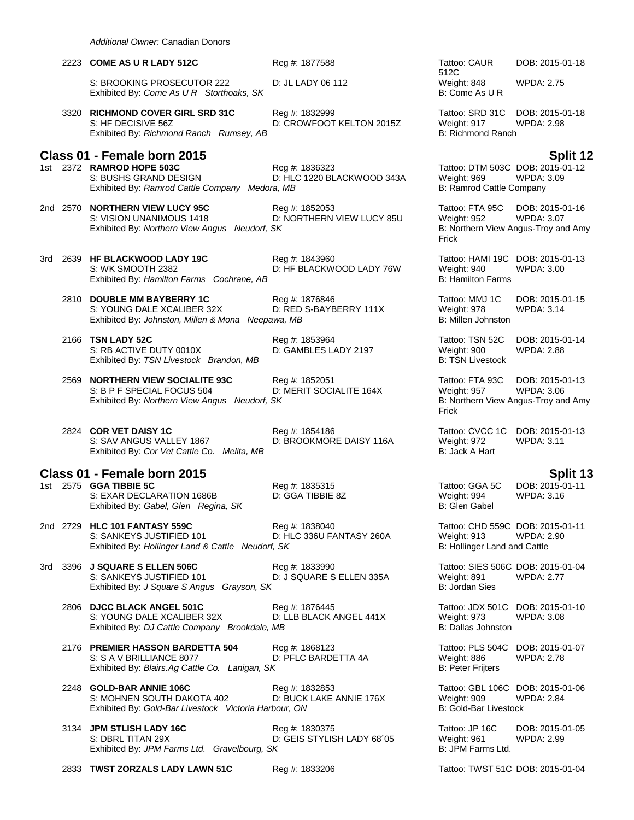|     |          | 2223 COME AS U R LADY 512C                                                                                      | Reg #: 1877588                               | Tattoo: CAUR<br>512C                                                            | DOB: 2015-01-18                                                             |
|-----|----------|-----------------------------------------------------------------------------------------------------------------|----------------------------------------------|---------------------------------------------------------------------------------|-----------------------------------------------------------------------------|
|     |          | S: BROOKING PROSECUTOR 222<br>Exhibited By: Come As U R Storthoaks, SK                                          | D: JL LADY 06 112                            | Weight: 848<br>B: Come As U R                                                   | <b>WPDA: 2.75</b>                                                           |
|     |          | 3320 RICHMOND COVER GIRL SRD 31C<br>S: HF DECISIVE 56Z<br>Exhibited By: Richmond Ranch Rumsey, AB               | Reg #: 1832999<br>D: CROWFOOT KELTON 2015Z   | Tattoo: SRD 31C<br>Weight: 917<br><b>B: Richmond Ranch</b>                      | DOB: 2015-01-18<br><b>WPDA: 2.98</b>                                        |
|     |          | Class 01 - Female born 2015                                                                                     |                                              |                                                                                 | Split 12                                                                    |
|     |          | 1st 2372 RAMROD HOPE 503C<br>S: BUSHS GRAND DESIGN<br>Exhibited By: Ramrod Cattle Company Medora, MB            | Reg #: 1836323<br>D: HLC 1220 BLACKWOOD 343A | Tattoo: DTM 503C DOB: 2015-01-12<br>Weight: 969<br>B: Ramrod Cattle Company     | <b>WPDA: 3.09</b>                                                           |
|     | 2nd 2570 | <b>NORTHERN VIEW LUCY 95C</b><br>S: VISION UNANIMOUS 1418<br>Exhibited By: Northern View Angus Neudorf, SK      | Reg #: 1852053<br>D: NORTHERN VIEW LUCY 85U  | Tattoo: FTA 95C<br>Weight: 952<br>Frick                                         | DOB: 2015-01-16<br><b>WPDA: 3.07</b><br>B: Northern View Angus-Troy and Amy |
| 3rd |          | 2639 HF BLACKWOOD LADY 19C<br>S: WK SMOOTH 2382<br>Exhibited By: Hamilton Farms Cochrane, AB                    | Reg #: 1843960<br>D: HF BLACKWOOD LADY 76W   | Tattoo: HAMI 19C DOB: 2015-01-13<br>Weight: 940<br><b>B: Hamilton Farms</b>     | <b>WPDA: 3.00</b>                                                           |
|     |          | 2810 DOUBLE MM BAYBERRY 1C<br>S: YOUNG DALE XCALIBER 32X<br>Exhibited By: Johnston, Millen & Mona Neepawa, MB   | Reg #: 1876846<br>D: RED S-BAYBERRY 111X     | Tattoo: MMJ 1C<br>Weight: 978<br>B: Millen Johnston                             | DOB: 2015-01-15<br><b>WPDA: 3.14</b>                                        |
|     |          | 2166 TSN LADY 52C<br>S: RB ACTIVE DUTY 0010X<br>Exhibited By: TSN Livestock Brandon, MB                         | Reg #: 1853964<br>D: GAMBLES LADY 2197       | Tattoo: TSN 52C<br>Weight: 900<br><b>B: TSN Livestock</b>                       | DOB: 2015-01-14<br><b>WPDA: 2.88</b>                                        |
|     |          | 2569 NORTHERN VIEW SOCIALITE 93C<br>S: B P F SPECIAL FOCUS 504<br>Exhibited By: Northern View Angus Neudorf, SK | Reg #: 1852051<br>D: MERIT SOCIALITE 164X    | Tattoo: FTA 93C<br>Weight: 957<br>Frick                                         | DOB: 2015-01-13<br><b>WPDA: 3.06</b><br>B: Northern View Angus-Troy and Amy |
|     |          | 2824 COR VET DAISY 1C<br>S: SAV ANGUS VALLEY 1867<br>Exhibited By: Cor Vet Cattle Co. Melita, MB                | Reg #: 1854186<br>D: BROOKMORE DAISY 116A    | Tattoo: CVCC 1C<br>Weight: 972<br>B: Jack A Hart                                | DOB: 2015-01-13<br>WPDA: 3.11                                               |
|     |          | Class 01 - Female born 2015                                                                                     |                                              |                                                                                 | Split 13                                                                    |
|     |          | 1st 2575 GGA TIBBIE 5C<br>S: EXAR DECLARATION 1686B<br>Exhibited By: Gabel, Glen Regina, SK                     | Reg #: 1835315<br>D: GGA TIBBIE 8Z           | Tattoo: GGA 5C<br>Weight: 994<br>B: Glen Gabel                                  | DOB: 2015-01-11<br><b>WPDA: 3.16</b>                                        |
|     |          | 2nd 2729 HLC 101 FANTASY 559C<br>S: SANKEYS JUSTIFIED 101<br>Exhibited By: Hollinger Land & Cattle Neudorf, SK  | Reg #: 1838040<br>D: HLC 336U FANTASY 260A   | Tattoo: CHD 559C DOB: 2015-01-11<br>Weight: 913<br>B: Hollinger Land and Cattle | <b>WPDA: 2.90</b>                                                           |
|     |          | 3rd 3396 J SQUARE S ELLEN 506C<br>S: SANKEYS JUSTIFIED 101<br>Exhibited By: J Square S Angus Grayson, SK        | Reg #: 1833990<br>D: J SQUARE S ELLEN 335A   | Tattoo: SIES 506C DOB: 2015-01-04<br>Weight: 891<br><b>B: Jordan Sies</b>       | <b>WPDA: 2.77</b>                                                           |
|     |          | 2806 DJCC BLACK ANGEL 501C<br>S: YOUNG DALE XCALIBER 32X<br>Exhibited By: DJ Cattle Company Brookdale, MB       | Reg #: 1876445<br>D: LLB BLACK ANGEL 441X    | Tattoo: JDX 501C DOB: 2015-01-10<br>Weight: 973<br>B: Dallas Johnston           | WPDA: 3.08                                                                  |
|     |          | 2176 PREMIER HASSON BARDETTA 504<br>S: S A V BRILLIANCE 8077<br>Exhibited By: Blairs.Ag Cattle Co. Lanigan, SK  | Reg #: 1868123<br>D: PFLC BARDETTA 4A        | Tattoo: PLS 504C DOB: 2015-01-07<br>Weight: 886<br><b>B: Peter Frijters</b>     | <b>WPDA: 2.78</b>                                                           |
|     |          | 2248 GOLD-BAR ANNIE 106C<br>S: MOHNEN SOUTH DAKOTA 402<br>Exhibited By: Gold-Bar Livestock Victoria Harbour, ON | Reg #: 1832853<br>D: BUCK LAKE ANNIE 176X    | Tattoo: GBL 106C DOB: 2015-01-06<br>Weight: 909<br><b>B: Gold-Bar Livestock</b> | <b>WPDA: 2.84</b>                                                           |
|     |          | 3134 JPM STLISH LADY 16C<br>S: DBRL TITAN 29X<br>Exhibited By: JPM Farms Ltd. Gravelbourg, SK                   | Reg #: 1830375<br>D: GEIS STYLISH LADY 68'05 | Tattoo: JP 16C<br>Weight: 961<br>B: JPM Farms Ltd.                              | DOB: 2015-01-05<br><b>WPDA: 2.99</b>                                        |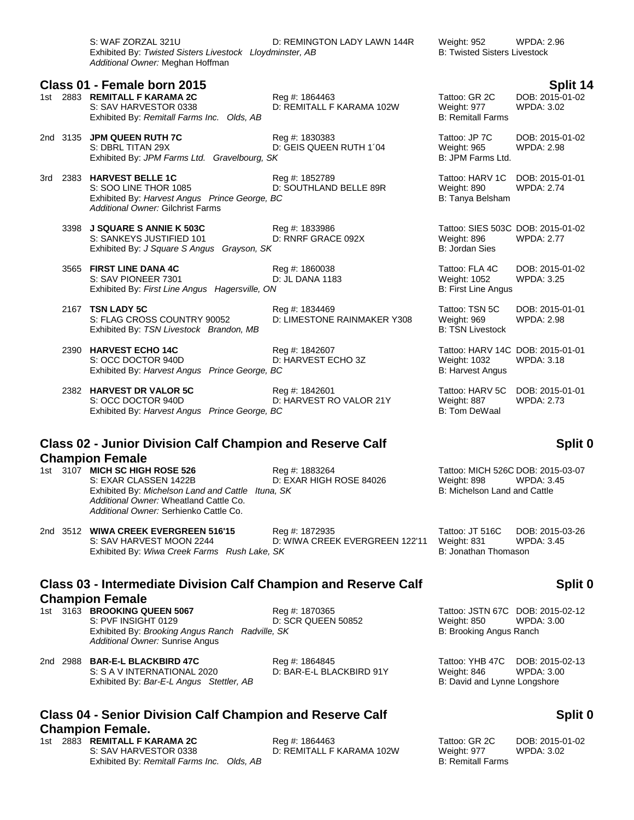S: WAF ZORZAL 321U D: REMINGTON LADY LAWN 144R Weight: 952 WPDA: 2.96<br>Exhibited By: Twisted Sisters Livestock Lloydminster, AB B: Twisted Sisters Livestock Exhibited By: *Twisted Sisters Livestock Lloydminster*, AB *Additional Owner:* Meghan Hoffman

| 1st | 2883     | <b>REMITALL F KARAMA 2C</b><br>S: SAV HARVESTOR 0338<br>Exhibited By: Remitall Farms Inc. Olds, AB                                            | Reg #: 1864463<br>D: REMITALL F KARAMA 102W   | Tattoo: GR 2C<br>Weight: 977<br><b>B: Remitall Farms</b>                           | DOB: 2015-01-02<br><b>WPDA: 3.02</b> |
|-----|----------|-----------------------------------------------------------------------------------------------------------------------------------------------|-----------------------------------------------|------------------------------------------------------------------------------------|--------------------------------------|
|     | 2nd 3135 | <b>JPM QUEEN RUTH 7C</b><br>S: DBRL TITAN 29X<br>Exhibited By: JPM Farms Ltd. Gravelbourg, SK                                                 | Reg #: 1830383<br>D: GEIS QUEEN RUTH 1'04     | Tattoo: JP 7C<br>Weight: 965<br>B: JPM Farms Ltd.                                  | DOB: 2015-01-02<br><b>WPDA: 2.98</b> |
|     | 3rd 2383 | <b>HARVEST BELLE 1C</b><br>S: SOO LINE THOR 1085<br>Exhibited By: Harvest Angus Prince George, BC<br><b>Additional Owner: Gilchrist Farms</b> | Reg #: 1852789<br>D: SOUTHLAND BELLE 89R      | Tattoo: HARV 1C<br>Weight: 890<br>B: Tanya Belsham                                 | DOB: 2015-01-01<br><b>WPDA: 2.74</b> |
|     |          | 3398 J SQUARE S ANNIE K 503C<br>S: SANKEYS JUSTIFIED 101<br>Exhibited By: J Square S Angus Grayson, SK                                        | Reg #: 1833986<br>D: RNRF GRACE 092X          | Tattoo: SIES 503C DOB: 2015-01-02<br>Weight: 896<br>B: Jordan Sies                 | <b>WPDA: 2.77</b>                    |
|     |          | 3565 FIRST LINE DANA 4C<br>S: SAV PIONEER 7301<br>Exhibited By: First Line Angus Hagersville, ON                                              | Reg #: 1860038<br>D: JL DANA 1183             | Tattoo: FLA 4C<br>Weight: 1052<br><b>B: First Line Angus</b>                       | DOB: 2015-01-02<br><b>WPDA: 3.25</b> |
|     |          | 2167 TSN LADY 5C<br>S: FLAG CROSS COUNTRY 90052<br>Exhibited By: TSN Livestock Brandon, MB                                                    | Reg #: 1834469<br>D: LIMESTONE RAINMAKER Y308 | Tattoo: TSN 5C<br>Weight: 969<br><b>B: TSN Livestock</b>                           | DOB: 2015-01-01<br><b>WPDA: 2.98</b> |
|     |          | 2390 HARVEST ECHO 14C<br>S: OCC DOCTOR 940D<br>Exhibited By: Harvest Angus Prince George, BC                                                  | Reg #: 1842607<br>D: HARVEST ECHO 3Z          | Tattoo: HARV 14C DOB: 2015-01-01<br><b>Weight: 1032</b><br><b>B: Harvest Angus</b> | <b>WPDA: 3.18</b>                    |
|     |          | 2382 HARVEST DR VALOR 5C<br>S: OCC DOCTOR 940D<br>Exhibited By: Harvest Angus Prince George, BC                                               | Reg #: 1842601<br>D: HARVEST RO VALOR 21Y     | Tattoo: HARV 5C<br>Weight: 887<br>B: Tom DeWaal                                    | DOB: 2015-01-01<br><b>WPDA: 2.73</b> |

## **Class 02 - Junior Division Calf Champion and Reserve Calf Champion Female**

1st 3107 **MICH SC HIGH ROSE 526** Reg #: 1883264 Tattoo: MICH 526C DOB: 2015-03-07 S: EXAR CLASSEN 1422B D: EXAR HIGH ROSE 84026 Weight: 898 WPDA: 3.45 Exhibited By: *Michelson Land and Cattle Ituna, SK* B: Michelson Land and Cattle *Additional Owner:* Wheatland Cattle Co. *Additional Owner:* Serhienko Cattle Co.

2nd 3512 **WIWA CREEK EVERGREEN 516'15** Reg #: 1872935 Tattoo: JT 516C DOB: 2015-03-26 Exhibited By: *Wiwa Creek Farms Rush Lake, SK* B: Jonathan Thomason

D: WIWA CREEK EVERGREEN 122'11 Weight: 831 WPDA: 3.45

# **Class 03 - Intermediate Division Calf Champion and Reserve Calf Champion Female**<br>1st 3163 BROOKING QUEEN 5067

S: PVF INSIGHT 0129 D: SCR QUEEN 50852 Weight: 850 Exhibited By: *Brooking Angus Ranch Radville, SK* B: **Brooking Angus Ranch** B: Brooking Angus Ranch *Additional Owner:* Sunrise Angus

2nd 2988 **BAR-E-L BLACKBIRD 47C** Reg #: 1864845 Tattoo: YHB 47C DOB: 2015-02-13 S: S A V INTERNATIONAL 2020 D: BAR-E-L BLACKBIRD 91Y Weight: 846 WPDA: 3.00 Exhibited By: *Bar-E-L Angus Stettler, AB* B: David and Lynne Longshore

## **Class 04 - Senior Division Calf Champion and Reserve Calf Champion Female.**

1st 2883 **REMITALL F KARAMA 2C** Reg #: 1864463 Tattoo: GR 2C DOB: 2015-01-02 S: SAV HARVESTOR 0338 D: REMITALL F KARAMA 102W Weight: 977 WPDA: 3.02 Exhibited By: *Remitall Farms Inc. Olds, AB* B: Remitall Farms **B: Remitall Farms** 

|     |          | Class 01 - Female born 2015                                                                                                                   |                                               |                                                                    | Split 14                             |
|-----|----------|-----------------------------------------------------------------------------------------------------------------------------------------------|-----------------------------------------------|--------------------------------------------------------------------|--------------------------------------|
|     |          | 1st 2883 REMITALL F KARAMA 2C<br>S: SAV HARVESTOR 0338<br>Exhibited By: Remitall Farms Inc. Olds, AB                                          | Reg #: 1864463<br>D: REMITALL F KARAMA 102W   | Tattoo: GR 2C<br>Weight: 977<br><b>B: Remitall Farms</b>           | DOB: 2015-01-02<br><b>WPDA: 3.02</b> |
|     | 2nd 3135 | <b>JPM QUEEN RUTH 7C</b><br>S: DBRL TITAN 29X<br>Exhibited By: JPM Farms Ltd. Gravelbourg, SK                                                 | Reg #: 1830383<br>D: GEIS QUEEN RUTH 1'04     | Tattoo: JP 7C<br>Weight: 965<br>B: JPM Farms Ltd.                  | DOB: 2015-01-02<br><b>WPDA: 2.98</b> |
| 3rd | 2383     | <b>HARVEST BELLE 1C</b><br>S: SOO LINE THOR 1085<br>Exhibited By: Harvest Angus Prince George, BC<br><b>Additional Owner: Gilchrist Farms</b> | Reg #: 1852789<br>D: SOUTHLAND BELLE 89R      | Tattoo: HARV 1C<br>Weight: 890<br>B: Tanya Belsham                 | DOB: 2015-01-01<br><b>WPDA: 2.74</b> |
|     |          | 3398 J SQUARE S ANNIE K 503C<br>S: SANKEYS JUSTIFIED 101<br>Exhibited By: J Square S Angus Grayson, SK                                        | Reg #: 1833986<br>D: RNRF GRACE 092X          | Tattoo: SIES 503C DOB: 2015-01-02<br>Weight: 896<br>B: Jordan Sies | <b>WPDA: 2.77</b>                    |
|     | 3565     | <b>FIRST LINE DANA 4C</b><br>S: SAV PIONEER 7301<br>Exhibited By: First Line Angus Hagersville, ON                                            | Reg #: 1860038<br>D: JL DANA 1183             | Tattoo: FLA 4C<br>Weight: 1052<br><b>B: First Line Angus</b>       | DOB: 2015-01-02<br><b>WPDA: 3.25</b> |
|     |          | 2167 TSN LADY 5C<br>S: FLAG CROSS COUNTRY 90052<br>Exhibited By: TSN Livestock Brandon, MB                                                    | Reg #: 1834469<br>D: LIMESTONE RAINMAKER Y308 | Tattoo: TSN 5C<br>Weight: 969<br><b>B: TSN Livestock</b>           | DOB: 2015-01-01<br><b>WPDA: 2.98</b> |
|     |          |                                                                                                                                               |                                               |                                                                    | $\cdots$                             |

# **Split 0**

# **Split 0**

1st 3163 **Brooking 3163 Brooking Street 3163 Reg #: 1870365**<br>
1915-02-12 D: SCR QUEEN 50852 Tattoo: 2016 Weight: 850 WPDA: 3.00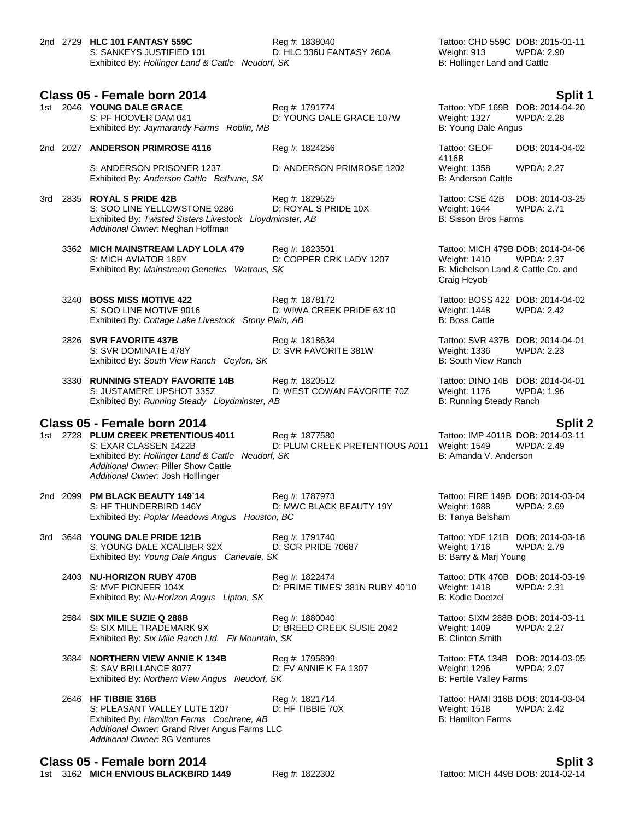|  | 2nd 2729 HLC 101 FANTASY 559C                     | Reg #: 1838040           | Tattoo: CHD 559C DOB: 2015-0 |            |
|--|---------------------------------------------------|--------------------------|------------------------------|------------|
|  | S: SANKEYS JUSTIFIED 101                          | D: HLC 336U FANTASY 260A | Weight: 913                  | WPDA: 2.90 |
|  | Exhibited By: Hollinger Land & Cattle Neudorf, SK |                          | B: Hollinger Land and Cattle |            |

**Class 05 - Female born 2014 Split 1**

|  | 1st 2046 YOUNG DALE GRACE                 | Rea #: 1791774           | Tattoo: YDF 169B DOB: 2014-0 |            |
|--|-------------------------------------------|--------------------------|------------------------------|------------|
|  | S: PF HOOVER DAM 041                      | D: YOUNG DALE GRACE 107W | Weight: 1327                 | WPDA: 2.28 |
|  | Exhibited By: Jaymarandy Farms Roblin, MB |                          | B: Young Dale Angus          |            |

2nd 2027 **ANDERSON PRIMROSE 4116** Reg #: 1824256 Tattoo: GEOF

S: ANDERSON PRISONER 1237 D: ANDERSON PRIMROSE 1202 Weight: 1358 WPDA: 2.27<br>Exhibited By: Anderson Cattle Bethune. SK B: Anderson Cattle B: Anderson Cattle Exhibited By: Anderson Cattle Bethune, SK

3rd 2835 **ROYAL S PRIDE 42B** Reg #: 1829525 Tattoo: CSE 42B DOB: 2014-03-25 S: SOO LINE YELLOWSTONE 9286 D: ROYAL S PRIDE 10X Weight: 1644 WPDA: 2.71 Exhibited By: Twisted Sisters Livestock Llovdminster. AB B: Sisson Bros Farms Exhibited By: Twisted Sisters Livestock Lloydminster, AB *Additional Owner:* Meghan Hoffman

3362 **MICH MAINSTREAM LADY LOLA 479** Reg #: 1823501 Tattoo: MICH 479B DOB: 2014-04-06 S: MICH AVIATOR 189Y D: COPPER CRK LADY 1207 Weight: 1410 WPDA: 2.37 Exhibited By: *Mainstream Genetics Watrous, SK* B: Michelson Land & Cattle Co. and

3240 **BOSS MISS MOTIVE 422** Reg #: 1878172 **Tattoo: BOSS 422 DOB: 2014-04-02** Reg #: 1878172 Tattoo: BOSS 422 DOB: 2014-04-02<br>S: SOO LINE MOTIVE 9016 D: WIWA CREEK PRIDE 63'10 Weight: 1448 WPDA: 2.42 Exhibited By: Cottage Lake Livestock Stony Plain, AB B: Boss Cattle

2826 **SVR FAVORITE 437B** Reg #: 1818634 Tattoo: SVR 437B DOB: 2014-04-01 S: SVR DOMINATE 478Y D: SVR FAVORITE 381W Weight: 1336 WPDA: 2.23 Exhibited By: *South View Ranch Ceylon, SK* B: South View Ranch Ceylon, SK

3330 **RUNNING STEADY FAVORITE 14B** Reg #: 1820512 Tattoo: DINO 14B DOB: 2014-04-01 S: JUSTAMERE UPSHOT 335Z D: WEST COWAN FAVORITE 70Z Weight: 1176 WPDA: 1.96 Exhibited By: *Running Steady Lloydminster, AB* B: Running Steady Ranch

# **Class 05 - Female born 2014 Split 2**

1st 2728 **PLUM CREEK PRETENTIOUS 4011** Reg #: 1877580 Tattoo: IMP 4011B DOB: 2014-03-14<br>D: PLUM CREEK PRETENTIOUS A011 Weight: 1549 WPDA: 2.49 *Additional Owner:* Piller Show Cattle *Additional Owner:* Josh Holllinger

D: PLUM CREEK PRETENTIOUS A011 Exhibited By: *Hollinger Land & Cattle Neudorf, SK* B: Amanda V. Anderson

2nd 2099 **PM BLACK BEAUTY 149´14** Reg #: 1787973 Tattoo: FIRE 149B DOB: 2014-03-04 D: MWC BLACK BEAUTY 19Y Exhibited By: Poplar Meadows Angus Houston, BC **B: Tanya Belsham** B: Tanya Belsham

3rd 3648 **YOUNG DALE PRIDE 121B** Reg #: 1791740 Tattoo: YDF 121B DOB: 2014-03-18<br>S: YOUNG DALE XCALIBER 32X D: SCR PRIDE 70687 Weight: 1716 WPDA: 2.79 S: YOUNG DALE XCALIBER 32X D: SCR PRIDE 70687 Weight: 1716 WPDA: 2.79 Exhibited By: *Young Dale Angus Carievale, SK* B: Barry & Marj Young

2403 **NU-HORIZON RUBY 470B** Reg #: 1822474 Tattoo: DTK 470B DOB: 2014-03-19 S: MVF PIONEER 104X D: PRIME TIMES' 381N RUBY 40'10 Weight: 1418 WPDA: 2.31 Exhibited By: *Nu-Horizon Angus Lipton, SK* B: Kodie Doetzel

2584 **SIX MILE SUZIE Q 288B** Reg #: 1880040 Tattoo: SIXM 288B DOB: 2014-03-11 S: SIX MILE TRADEMARK 9X D: BREED CREEK SUSIE 2042 Weight: 1409 WPDA: 2.27<br>Exhibited By: Six Mile Ranch Ltd. Fir Mountain, SK B: Clinton Smith B: Clinton Smith Exhibited By: Six Mile Ranch Ltd. Fir Mountain, SK

3684 **NORTHERN VIEW ANNIE K 134B** Reg #: 1795899 Tattoo: FTA 134B DOB: 2014-03-05 S: SAV BRILLANCE 8077 D: FV ANNIE K FA 1307 Weight: 1296 WPDA: 2.07<br>Exhibited By: Northern View Angus Neudorf, SK B: Fertile Valley Farms Exhibited By: Northern View Angus Neudorf, SK

2646 **HF TIBBIE 316B** Reg #: 1821714 Tattoo: HAMI 316B DOB: 2014-03-04<br>S: PLEASANT VALLEY LUTE 1207 D: HF TIBBIE 70X Weight: 1518 WPDA: 2.42 S: PLEASANT VALLEY LUTE 1207 D: HF TIBBIE 70X Weight: 1518<br>
Exhibited By: Hamilton Farms Cochrane, AB<br>
B: Hamilton Farms Exhibited By: Hamilton Farms Cochrane, AB *Additional Owner:* Grand River Angus Farms LLC *Additional Owner:* 3G Ventures

**Class 05 - Female born 2014 Split 3**

1st 3162 **MICH ENVIOUS BLACKBIRD 1449** Reg #: 1822302 Tattoo: MICH 449B DOB: 2014-02-14

Tattoo: CHD 559C DOB: 2015-01-11<br>Weight: 913 WPDA: 2.90 B: Hollinger Land and Cattle

Tattoo: YDF 169B DOB: 2014-04-20 B: Young Dale Angus

4116B DOB: 2014-04-02

Craig Heyob

D: WIWA CREEK PRIDE 63'10 Weight: 1448 WPDA: 2.42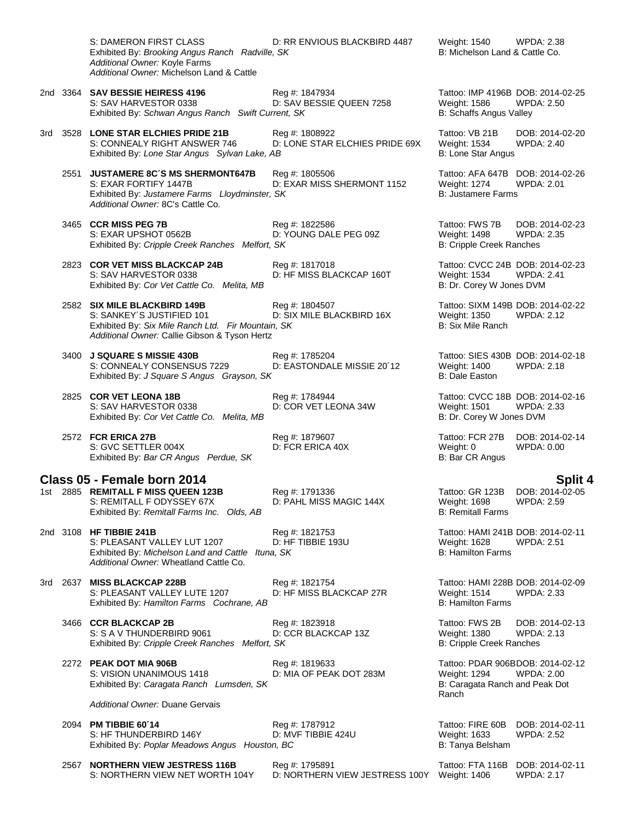S: DAMERON FIRST CLASS **DIGET BY DE RRIGINAL BEACKBIRD 4487** Weight: 1540 WPDA: 2.38<br>Exhibited By: *Brooking Angus Ranch Radville*, SK B: Michelson Land & Cattle Co. Exhibited By: *Brooking Angus Ranch Radville, SK Additional Owner:* Koyle Farms *Additional Owner:* Michelson Land & Cattle 2nd 3364 **SAV BESSIE HEIRESS 4196** Reg #: 1847934 Tattoo: IMP 4196B DOB: 2014-02-25 S: SAV HARVESTOR 0338 D: SAV BESSIE QUEEN 7258 Weight: 1586 WPDA: 2.50 Exhibited By: *Schwan Angus Ranch Swift Current, SK* B: Schaffs Angus Valley 3rd 3528 **LONE STAR ELCHIES PRIDE 21B** Reg #: 1808922 Tattoo: VB 21B DOB: 2014-02-20 S: CONNEALY RIGHT ANSWER 746 D: LONE STAR ELCHIES PRIDE 69X Weight: 1534 WPDA: 2.40 Exhibited By: *Lone Star Angus Sylvan Lake, AB* B: Lone Star Angus B: Lone Star Angus 2551 **JUSTAMERE 8C´S MS SHERMONT647B** Reg #: 1805506 Tattoo: AFA 647B DOB: 2014-02-26 D: EXAR MISS SHERMONT 1152 Exhibited By: *Justamere Farms Lloydminster, SK* B: Justamere Farms *Additional Owner:* 8C's Cattle Co. 3465 **CCR MISS PEG 7B** Reg #: 1822586 Tattoo: FWS 7B DOB: 2014-02-23 S: EXAR UPSHOT 0562B D: YOUNG DALE PEG 09Z Weight: 1498 WPDA: 2.35 Exhibited By: *Cripple Creek Ranches Melfort, SK* B: Cripple Creek Ranches 2823 **COR VET MISS BLACKCAP 24B** Reg #: 1817018 Tattoo: CVCC 24B DOB: 2014-02-23 S: SAV HARVESTOR 0338 D: HF MISS BLACKCAP 160T Weight: 1534 WPDA: 2.41<br>Exhibited By: Cor Vet Cattle Co. Melita, MB B: Dr. Corey W Jones DVM Exhibited By: Cor Vet Cattle Co. Melita, MB 2582 **SIX MILE BLACKBIRD 149B** Reg #: 1804507 Tattoo: SIXM 149B DOB: 2014-02-22 D: SIX MILE BLACKBIRD 16X Weight: 1350<br>n, SK B: Six Mile Ranch Exhibited By: Six Mile Ranch Ltd. Fir Mountain, SK *Additional Owner:* Callie Gibson & Tyson Hertz 3400 **J SQUARE S MISSIE 430B** Reg #: 1785204 Tattoo: SIES 430B DOB: 2014-02-18 S: CONNEALY CONSENSUS 7229 D: EASTONDALE MISSIE 20´12 Weight: 1400 WPDA: 2.18 Exhibited By: *J Square S Angus Grayson, SK* B: Dale Easton 2825 **COR VET LEONA 18B** Reg #: 1784944 Tattoo: CVCC 18B DOB: 2014-02-16 S: SAV HARVESTOR 0338 D: COR VET LEONA 34W Weight: 1501 WPDA: 2.33 Exhibited By: *Cor Vet Cattle Co. Melita, MB* B: Dr. Corey W Jones DVM 2572 **FCR ERICA 27B** Reg #: 1879607 Tattoo: FCR 27B DOB: 2014-02-14 S: GVC SETTLER 004X D: FCR ERICA 40X Weight: 0 WPDA: 0.00 Exhibited By: *Bar CR Angus Perdue, SK* B: Bar CR Angus Perdue, SK **Class 05 - Female born 2014 Split 4** 1st 2885 **REMITALL F MISS QUEEN 123B** Reg #: 1791336 Tattoo: GR 123B DOB: 2014-02-05 S: REMITALL F ODYSSEY 67X D: PAHL MISS MAGIC 144X Weight: 1698 WPDA: 2.59<br>Exhibited By: Remitall Farms Inc. Olds. AB B: Remitall Farms Exhibited By: Remitall Farms Inc. Olds, AB 2nd 3108 **HF TIBBIE 241B Reg #: 1821753** Reg #: 1821753 Tattoo: HAMI 241B DOB: 2014-02-11<br>S: PLEASANT VALLEY LUT 1207 D: HF TIBBIE 193U Weight: 1628 WPDA: 2.51 S: PLEASANT VALLEY LUT 1207 D: HF TIBBIE 193U Weight: 1628<br>Exhibited By: *Michelson Land and Cattle Ituna, SK* B: Hamilton Farms Exhibited By: Michelson Land and Cattle Ituna, SK *Additional Owner:* Wheatland Cattle Co. 3rd 2637 **MISS BLACKCAP 228B** Reg #: 1821754 Tattoo: HAMI 228B DOB: 2014-02-09 S: PLEASANT VALLEY LUTE 1207 D: HF MISS BLACKCAP 27R Weight: 1514 WPDA: 2.33 Exhibited By: *Hamilton Farms Cochrane, AB* B: Hamilton Farms Cochrane, AB 3466 **CCR BLACKCAP 2B** Reg #: 1823918 Tattoo: FWS 2B DOB: 2014-02-13 S: S A V THUNDERBIRD 9061 D: CCR BLACKCAP 13Z Weight: 1380 WPDA: 2.13 Exhibited By: *Cripple Creek Ranches Melfort, SK* B: Cripple Creek Ranches 2272 **PEAK DOT MIA 906B** Reg #: 1819633 Tattoo: PDAR 906BDOB: 2014-02-12 S: VISION UNANIMOUS 1418 D: MIA OF PEAK DOT 283M Weight: 1294 WPDA: 2.00<br>Exhibited By: Caragata Ranch Lumsden, SK B: Caragata Ranch and Peak Dot Exhibited By: Caragata Ranch Lumsden, SK Ranch *Additional Owner:* Duane Gervais 2094 **PM TIBBIE 60´14** Reg #: 1787912 Tattoo: FIRE 60B DOB: 2014-02-11 S: HF THUNDERBIRD 146Y D: MVF TIBBIE 424U Weight: 1633 WPDA: 2.52 Exhibited By: *Poplar Meadows Angus Houston, BC* B: Tanya Belsham B: Tanya Belsham 2567 **NORTHERN VIEW JESTRESS 116B** Reg #: 1795891 Tattoo: FTA 116B DOB: 2014-02-11 D: NORTHERN VIEW JESTRESS 100Y Weight: 1406 WPDA: 2.17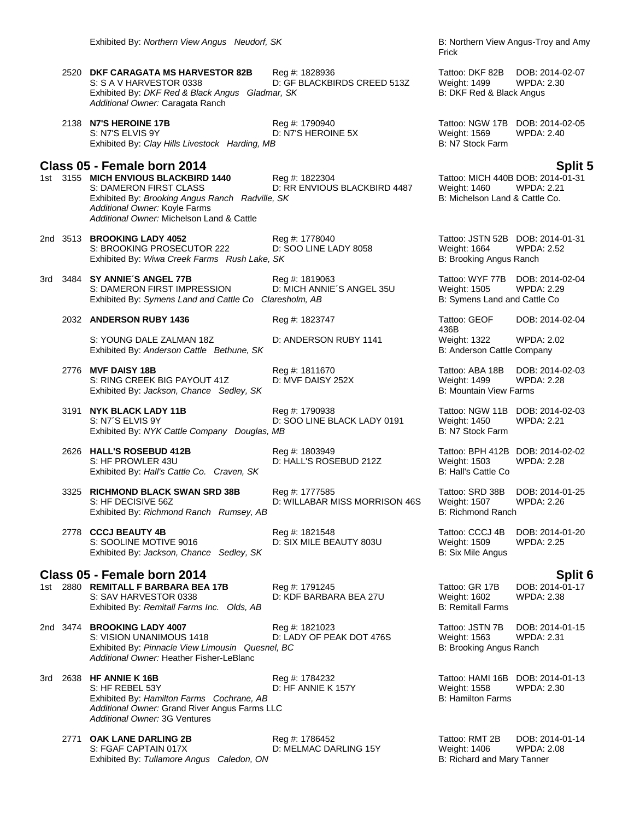2520 **DKF CARAGATA MS HARVESTOR 82B** Reg #: 1828936 Tattoo: DKF 82B DOB: 2014-02-07 S: S A V HARVESTOR 0338 D: GF BLACKBIRDS CREED 513Z Weight: 1499 Exhibited By: *DKF Red & Black Angus Gladmar, SK* B: DKF Red & Black Angus *Additional Owner:* Caragata Ranch

2138 **N7'S HEROINE 17B** Reg #: 1790940 Tattoo: NGW 17B DOB: 2014-02-05 S: N7'S ELVIS 9Y D: N7'S HEROINE 5X Weight: 1569 WPDA: 2.40<br>
Exhibited By: Clay Hills Livestock Harding, MB B: N7 Stock Farm Exhibited By: Clay Hills Livestock Harding, MB

# **Class 05 - Female born 2014 Split 5**

1st 3155 **MICH ENVIOUS BLACKBIRD 1440** Reg #: 1822304 S: DAMERON FIRST CLASS **DIGET BENVIOUS BLACKBIRD 4487** Weight: 1460 WPDA: 2.21<br>Exhibited By: *Brooking Angus Ranch Radville, SK* B: Michelson Land & Cattle Co. Exhibited By: *Brooking Angus Ranch Radville, SK Additional Owner:* Koyle Farms *Additional Owner:* Michelson Land & Cattle

2nd 3513 **BROOKING LADY 4052** Reg #: 1778040 Tattoo: JSTN 52B DOB: 2014-01-31 S: BROOKING PROSECUTOR 222 D: SOO LINE LADY 8058 Weight: 1664 WPDA: 2.52<br>Exhibited By: Wiwa Creek Farms Rush Lake, SK B: Brooking Angus Ranch Exhibited By: Wiwa Creek Farms Rush Lake, SK

3rd 3484 **SY ANNIE´S ANGEL 77B** Reg #: 1819063 Tattoo: WYF 77B DOB: 2014-02-04 S: DAMERON FIRST IMPRESSION D: MICH ANNIE´S ANGEL 35U Weight: 1505 WPDA: 2.29 Exhibited By: Symens Land and Cattle Co Claresholm, AB B: Symens Land and Cattle Co

2032 **ANDERSON RUBY 1436** Reg #: 1823747 Tattoo: GEOF

S: YOUNG DALE ZALMAN 18Z D: ANDERSON RUBY 1141 Weight: 1322 WPDA: 2.02<br>Exhibited By: Anderson Cattle Bethune, SK B: Anderson Cattle Company Exhibited By: Anderson Cattle Bethune, SK

2776 **MVF DAISY 18B** Reg #: 1811670 Reg #: 1811670 Tattoo: ABA 18B DOB: 2014-02-03<br>S: RING CREEK BIG PAYOUT 41Z D: MVF DAISY 252X Weight: 1499 WPDA: 2.28 S: RING CREEK BIG PAYOUT 41Z Exhibited By: *Jackson, Chance* Sedley, SK B: Mountain View Farms

D: SOO LINE BLACK LADY 0191

Exhibited By: Hall's Cattle Co. Craven, SK

3325 **RICHMOND BLACK SWAN SRD 38B** Reg #: 1777585 Tattoo: SRD 38B DOB: 2014-01-25 S: HF DECISIVE 56Z **D: WILLABAR MISS MORRISON 46S** Weight: 1507 MELABAR MISS MORRISON 46S Weight: 1507 Exhibited By: Richmond Ranch Rumsey, AB

2778 **CCCJ BEAUTY 4B** Reg #: 1821548 Tattoo: CCCJ 4B DOB: 2014-01-20<br>S: SOOLINE MOTIVE 9016 D: SIX MILE BEAUTY 803U Weight: 1509 WPDA: 2.25 Exhibited By: Jackson, Chance Sedley, SK

## **Class 05 - Female born 2014 Split 6**

1st 2880 **REMITALL F BARBARA BEA 17B** Reg #: 1791245 Tattoo: GR 17B DOB: 2014-01-17<br>S: SAV HARVESTOR 0338 D: KDF BARBARA BEA 27U Weight: 1602 WPDA: 2.38 Exhibited By: *Remitall Farms Inc. Olds, AB* B: Remitall Farms **B: Remitall Farms** 

D: KDF BARBARA BEA 27U

2nd 3474 **BROOKING LADY 4007** Reg #: 1821023 Tattoo: JSTN 7B DOB: 2014-01-15 D: LADY OF PEAK DOT 476S Weight: 1563 WPDA:<br>
el, BC B: Brooking Angus Ranch Exhibited By: Pinnacle View Limousin Quesnel, BC *Additional Owner:* Heather Fisher-LeBlanc

3rd 2638 **HF ANNIE K 16B** Reg #: 1784232 Tattoo: HAMI 16B DOB: 2014-01-13 S: HF REBEL 53Y **D: HF ANNIE K 157Y** DE Weight: 1558 WPDA: 2.30<br>Exhibited By: *Hamilton Farms Cochrane. AB* B: Hamilton Farms B: Hamilton Farms Exhibited By: Hamilton Farms Cochrane, AB *Additional Owner:* Grand River Angus Farms LLC *Additional Owner:* 3G Ventures

2771 **OAK LANE DARLING 2B** Reg #: 1786452 Tattoo: RMT 2B DOB: 2014-01-14 S: FGAF CAPTAIN 017X D: MELMAC DARLING 15Y Weight: 1406 WPDA: 2.08 Exhibited By: Tullamore Angus Caledon, ON B: Richard and Mary Tanner

Frick

436B DOB: 2014-02-04

3191 **NYK BLACK LADY 11B** Reg #: 1790938 Tattoo: NGW 11B DOB: 2014-02-03<br>S: N7'S ELVIS 9Y D: SOO LINE BLACK LADY 0191 Weight: 1450 WPDA: 2.21 Exhibited By: *NYK Cattle Company Douglas, MB* B: Now B: N7 Stock Farm

2626 **HALL'S ROSEBUD 412B** Reg #: 1803949 Tattoo: BPH 412B DOB: 2014-02-02 S: HF PROWLER 43U **D: HALL'S ROSEBUD 212Z** Weight: 1503 WPDA: 2.28<br>Exhibited By: *Hall's Cattle Co. Craven. SK* B: Hall's Cattle Co

D: SIX MILE BEAUTY 803U Weight: 1509<br>B: Six Mile Angus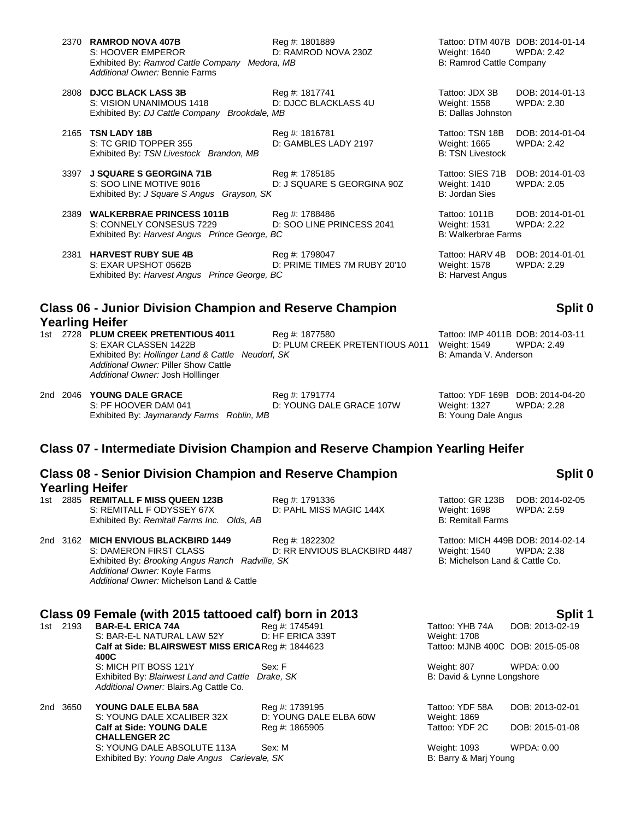| 2370 RAMROD NOVA 407B                          | Reg #: 1801889      |
|------------------------------------------------|---------------------|
| S: HOOVER EMPEROR                              | D: RAMROD NOVA 230Z |
| Exhibited By: Ramrod Cattle Company Medora, MB |                     |
| Additional Owner: Bennie Farms                 |                     |

2808 **DJCC BLACK LASS 3B** Reg #: 1817741 Tattoo: JDX 3B DOB: 2014-01-13 S: VISION UNANIMOUS 1418 D: DJCC BLACKLASS 4U Weight: 1558 WPDA: 2.30 Exhibited By: *DJ Cattle Company Brookdale, MB* B: Dallas Johnston B: Dallas Johnston

2165 **TSN LADY 18B** Reg #: 1816781 Tattoo: TSN 18B DOB: 2014-01-04 S: TC GRID TOPPER 355 D: GAMBLES LADY 2197 Weight: 1665 WPDA: 2.42 Exhibited By: *TSN Livestock Brandon, MB* B: TSN Livestock **Brandon, MB** B: TSN Livestock

3397 **J SQUARE S GEORGINA 71B** Reg #: 1785185 **Tattoo: SIES 71B DOB: 2014-01-03** Reg #: 1785185 Tattoo: SIES 71B DOB: 2014-01-03<br>S: SOO LINE MOTIVE 9016 D: J SQUARE S GEORGINA 90Z Weight: 1410 WPDA: 2.05 D: J SQUARE S GEORGINA 90Z Exhibited By: *J Square S Angus Grayson, SK* B: Jordan Sies

2389 **WALKERBRAE PRINCESS 1011B** Reg #: 1788486 Tattoo: 1011B DOB: 2014-01-01 S: CONNELY CONSESUS 7229 D: SOO LINE PRINCESS 2041 Weight: 1531 WPDA: 2.22 Exhibited By: *Harvest Angus Prince George, BC* B: Walkerbrae Farms B: Walkerbrae Farms

2381 **HARVEST RUBY SUE 4B** Reg #: 1798047 Tattoo: HARV 4B DOB: 2014-01-01 S: EXAR UPSHOT 0562B D: PRIME TIMES 7M RUBY 20'10 Weight: 1578 WPDA: 2.29 Exhibited By: *Harvest Angus Prince George, BC* B: Harvest Angus B: Harvest Angus

## **Class 06 - Junior Division Champion and Reserve Champion Yearling Heifer**

1st 2728 **PLUM CREEK PRETENTIOUS 4011** Reg #: 1877580 Tattoo: IMP 4011B DOB: 2014-03-11 D: PLUM CREEK PRETENTIOUS A011 Weight: 1549 WPDA: 2.49 Exhibited By: *Hollinger Land & Cattle Neudorf, SK* B: Amanda V. Anderson *Additional Owner:* Piller Show Cattle *Additional Owner:* Josh Holllinger

2nd 2046 **YOUNG DALE GRACE** Reg #: 1791774 **Tattoo: YDF 169B DOB: 2014-04-20**<br>S: PF HOOVER DAM 041 D: YOUNG DALE GRACE 107W Weight: 1327 WPDA: 2.28 D: YOUNG DALE GRACE 107W Weight: 1327 W<br>B: Young Dale Angus Exhibited By: *Jaymarandy Farms Roblin, MB* 

## **Class 07 - Intermediate Division Champion and Reserve Champion Yearling Heifer**

## **Class 08 - Senior Division Champion and Reserve Champion Yearling Heifer**

| 1st. | 2885 REMITALL F MISS QUEEN 123B<br>S: REMITALL F ODYSSEY 67X<br>Exhibited By: Remitall Farms Inc. Olds, AB                                                                                      | Reg #: 1791336<br>D: PAHL MISS MAGIC 144X      | Tattoo: GR 123B<br>Weight: 1698<br><b>B: Remitall Farms</b> | DOB: 2014-02-05<br>WPDA: 2.59     |
|------|-------------------------------------------------------------------------------------------------------------------------------------------------------------------------------------------------|------------------------------------------------|-------------------------------------------------------------|-----------------------------------|
|      | 2nd 3162 MICH ENVIOUS BLACKBIRD 1449<br>S: DAMERON FIRST CLASS<br>Exhibited By: Brooking Angus Ranch Radville, SK<br>Additional Owner: Koyle Farms<br>Additional Owner: Michelson Land & Cattle | Reg #: 1822302<br>D: RR ENVIOUS BLACKBIRD 4487 | Weight: 1540 WPDA: 2.38<br>B: Michelson Land & Cattle Co.   | Tattoo: MICH 449B DOB: 2014-02-14 |

# **Class 09 Female (with 2015 tattooed calf) born in 2013 Split 1**

**BAR-E-L ERICA 74A** S: BAR-E-L NATURAL LAW 52Y D: HF ERICA 339T Weight: 1708 **Calf at Side: BLAIRSWEST MISS ERICA Reg #: 1844623 400C** S: MICH PIT BOSS 121Y Sex: F Weight: 807 WPDA: 0.00 Exhibited By: *Blairwest Land and Cattle Drake, SK* B: David & Lynne Longshore *Additional Owner:* Blairs.Ag Cattle Co.

| 2nd 3650 | YOUNG DALE ELBA 58A                          | Reg #: 1739195         | Tattoo: YDF 58A       | DOB: 2013-02-01 |
|----------|----------------------------------------------|------------------------|-----------------------|-----------------|
|          | S: YOUNG DALE XCALIBER 32X                   | D: YOUNG DALE ELBA 60W | Weight: 1869          |                 |
|          | <b>Calf at Side: YOUNG DALE</b>              | Reg #: 1865905         | Tattoo: YDF 2C        | DOB: 2015-01-08 |
|          | <b>CHALLENGER 2C</b>                         |                        |                       |                 |
|          | S: YOUNG DALE ABSOLUTE 113A                  | Sex: M                 | Weight: 1093          | WPDA: 0.00      |
|          | Exhibited By: Young Dale Angus Carievale, SK |                        | B: Barry & Marj Young |                 |

Tattoo: MJNB 400C DOB: 2015-05-08

| Tattoo: YDF 58A | DOB: 2013-02-01 |
|-----------------|-----------------|
| Weight: 1869    |                 |
| Tattoo: YDF 2C  | DOB: 2015-01-08 |
|                 |                 |

Weight: 1093 WPDA: 0.00 B: Barry & Marj Young

Tattoo: DTM 407B DOB: 2014-01-14<br>Weight: 1640 WPDA: 2.42 Weight: 1640 B: Ramrod Cattle Company

## **Split 0**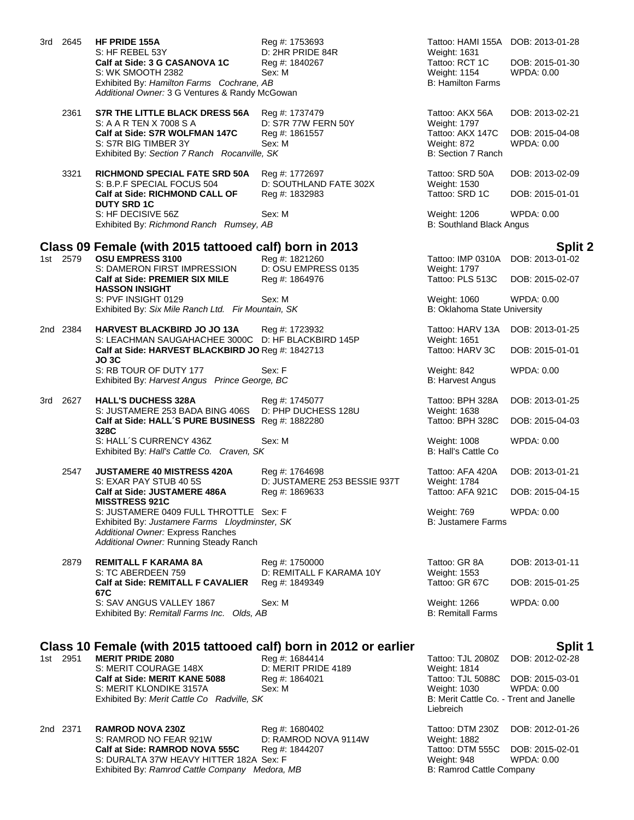| 3rd - | 2645     | HF PRIDE 155A<br>S: HF REBEL 53Y                                                                       | Reg #: 1753693<br>D: 2HR PRIDE 84R             | Tattoo: HAMI 155A DOB: 2013-01-28<br>Weight: 1631     |                                      |
|-------|----------|--------------------------------------------------------------------------------------------------------|------------------------------------------------|-------------------------------------------------------|--------------------------------------|
|       |          | Calf at Side: 3 G CASANOVA 1C<br>S: WK SMOOTH 2382                                                     | Reg #: 1840267<br>Sex: M                       | Tattoo: RCT 1C<br><b>Weight: 1154</b>                 | DOB: 2015-01-30<br><b>WPDA: 0.00</b> |
|       |          | Exhibited By: Hamilton Farms Cochrane, AB<br>Additional Owner: 3 G Ventures & Randy McGowan            |                                                | <b>B: Hamilton Farms</b>                              |                                      |
|       | 2361     | S7R THE LITTLE BLACK DRESS 56A<br>S: A A R TEN X 7008 S A                                              | Reg #: 1737479<br>D: S7R 77W FERN 50Y          | Tattoo: AKX 56A<br>Weight: 1797                       | DOB: 2013-02-21                      |
|       |          | Calf at Side: S7R WOLFMAN 147C<br>S: S7R BIG TIMBER 3Y<br>Exhibited By: Section 7 Ranch Rocanville, SK | Reg #: 1861557<br>Sex: M                       | Tattoo: AKX 147C<br>Weight: 872<br>B: Section 7 Ranch | DOB: 2015-04-08<br>WPDA: 0.00        |
|       | 3321     | <b>RICHMOND SPECIAL FATE SRD 50A</b><br>S: B.P.F SPECIAL FOCUS 504                                     | Reg #: 1772697<br>D: SOUTHLAND FATE 302X       | Tattoo: SRD 50A<br>Weight: 1530                       | DOB: 2013-02-09                      |
|       |          | <b>Calf at Side: RICHMOND CALL OF</b><br><b>DUTY SRD 1C</b>                                            | Reg #: 1832983                                 | Tattoo: SRD 1C                                        | DOB: 2015-01-01                      |
|       |          | S: HF DECISIVE 56Z<br>Exhibited By: Richmond Ranch Rumsey, AB                                          | Sex: M                                         | Weight: 1206<br><b>B: Southland Black Angus</b>       | WPDA: 0.00                           |
|       |          | Class 09 Female (with 2015 tattooed calf) born in 2013                                                 |                                                |                                                       | <b>Split 2</b>                       |
|       | 1st 2579 | OSU EMPRESS 3100<br>S: DAMERON FIRST IMPRESSION                                                        | Reg #: 1821260<br>D: OSU EMPRESS 0135          | Tattoo: IMP 0310A<br>Weight: 1797                     | DOB: 2013-01-02                      |
|       |          | <b>Calf at Side: PREMIER SIX MILE</b><br><b>HASSON INSIGHT</b>                                         | Reg #: 1864976                                 | Tattoo: PLS 513C                                      | DOB: 2015-02-07                      |
|       |          | S: PVF INSIGHT 0129<br>Exhibited By: Six Mile Ranch Ltd. Fir Mountain, SK                              | Sex: M                                         | Weight: 1060<br>B: Oklahoma State University          | WPDA: 0.00                           |
|       | 2nd 2384 | HARVEST BLACKBIRD JO JO 13A<br>S: LEACHMAN SAUGAHACHEE 3000C D: HF BLACKBIRD 145P                      | Reg #: 1723932                                 | Tattoo: HARV 13A<br>Weight: 1651                      | DOB: 2013-01-25                      |
|       |          | Calf at Side: HARVEST BLACKBIRD JO Reg #: 1842713<br><b>JO 3C</b>                                      |                                                | Tattoo: HARV 3C                                       | DOB: 2015-01-01                      |
|       |          | S: RB TOUR OF DUTY 177<br>Exhibited By: Harvest Angus Prince George, BC                                | Sex: F                                         | Weight: 842<br><b>B: Harvest Angus</b>                | WPDA: 0.00                           |
|       | 3rd 2627 | <b>HALL'S DUCHESS 328A</b><br>S: JUSTAMERE 253 BADA BING 406S                                          | Reg #: 1745077<br>D: PHP DUCHESS 128U          | Tattoo: BPH 328A<br>Weight: 1638                      | DOB: 2013-01-25                      |
|       |          | Calf at Side: HALL'S PURE BUSINESS Reg #: 1882280<br>328C                                              |                                                | Tattoo: BPH 328C                                      | DOB: 2015-04-03                      |
|       |          | S: HALL'S CURRENCY 436Z<br>Exhibited By: Hall's Cattle Co. Craven, SK                                  | Sex: M                                         | Weight: 1008<br><b>B: Hall's Cattle Co</b>            | <b>WPDA: 0.00</b>                    |
|       | 2547     | <b>JUSTAMERE 40 MISTRESS 420A</b><br>S: EXAR PAY STUB 40 5S                                            | Reg #: 1764698<br>D: JUSTAMERE 253 BESSIE 937T | Tattoo: AFA 420A<br>Weight: 1784                      | DOB: 2013-01-21                      |
|       |          | Calf at Side: JUSTAMERE 486A<br><b>MISSTRESS 921C</b>                                                  | Reg #: 1869633                                 | Tattoo: AFA 921C                                      | DOB: 2015-04-15                      |
|       |          | S: JUSTAMERE 0409 FULL THROTTLE Sex: F<br>Exhibited By: Justamere Farms Lloydminster, SK               |                                                | Weight: 769<br><b>B: Justamere Farms</b>              | WPDA: 0.00                           |
|       |          | Additional Owner: Express Ranches<br>Additional Owner: Running Steady Ranch                            |                                                |                                                       |                                      |
|       | 2879     | <b>REMITALL F KARAMA 8A</b><br>S: TC ABERDEEN 759                                                      | Reg #: 1750000<br>D: REMITALL F KARAMA 10Y     | Tattoo: GR 8A<br>Weight: 1553                         | DOB: 2013-01-11                      |
|       |          | <b>Calf at Side: REMITALL F CAVALIER</b><br>67C                                                        | Reg #: 1849349                                 | Tattoo: GR 67C                                        | DOB: 2015-01-25                      |
|       |          | S: SAV ANGUS VALLEY 1867<br>Exhibited By: Remitall Farms Inc. Olds, AB                                 | Sex: M                                         | Weight: 1266<br><b>B: Remitall Farms</b>              | <b>WPDA: 0.00</b>                    |
|       |          | Class 10 Female (with 2015 tattooed calf) born in 2012 or earlier                                      |                                                |                                                       | Split 1                              |
|       | 1st 2951 | <b>MERIT PRIDE 2080</b><br>S: MERIT COURAGE 148X                                                       | Reg #: 1684414<br>D: MERIT PRIDE 4189          | Tattoo: TJL 2080Z<br>Weight: 1814                     | DOB: 2012-02-28                      |
|       |          | Calf at Side: MERIT KANE 5088<br>S: MERIT KLONDIKE 3157A                                               | Reg #: 1864021<br>Sex: M                       | Tattoo: TJL 5088C<br>Weight: 1030                     | DOB: 2015-03-01<br>WPDA: 0.00        |
|       |          | Exhibited By: Merit Cattle Co Radville, SK                                                             |                                                | B: Merit Cattle Co. - Trent and Janelle<br>Liebreich  |                                      |
|       | 2nd 2371 | <b>RAMROD NOVA 230Z</b><br>S: RAMROD NO FEAR 921W                                                      | Reg #: 1680402<br>D: RAMROD NOVA 9114W         | Tattoo: DTM 230Z<br><b>Weight: 1882</b>               | DOB: 2012-01-26                      |
|       |          | Calf at Side: RAMROD NOVA 555C<br>S: DURALTA 37W HEAVY HITTER 182A Sex: F                              | Reg #: 1844207                                 | Tattoo: DTM 555C<br>Weight: 948                       | DOB: 2015-02-01<br><b>WPDA: 0.00</b> |
|       |          | Exhibited By: Ramrod Cattle Company Medora, MB                                                         |                                                | B: Ramrod Cattle Company                              |                                      |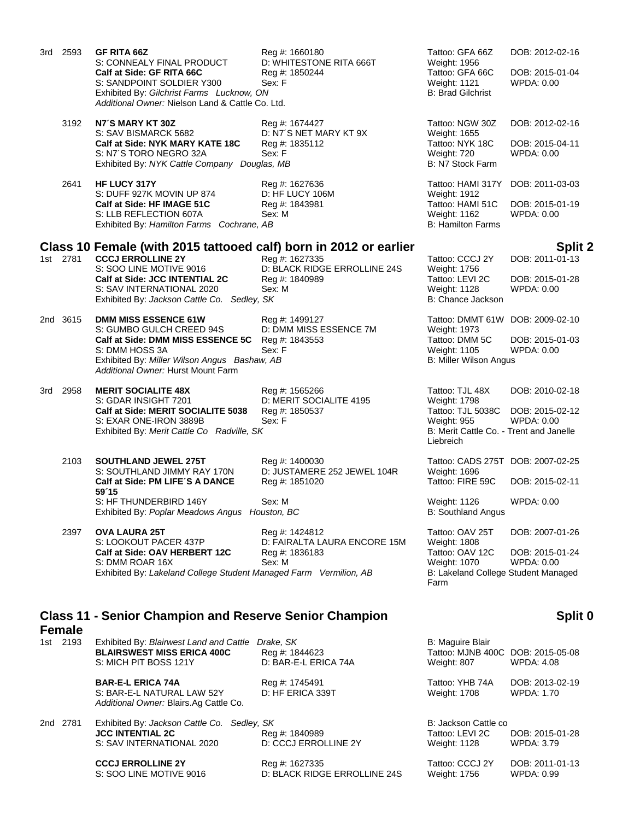|     | 3rd 2593      | <b>GF RITA 66Z</b><br>S: CONNEALY FINAL PRODUCT<br>Calf at Side: GF RITA 66C<br>S: SANDPOINT SOLDIER Y300<br>Exhibited By: Gilchrist Farms Lucknow, ON<br>Additional Owner: Nielson Land & Cattle Co. Ltd.                             | Reg #: 1660180<br>D: WHITESTONE RITA 666T<br>Reg #: 1850244<br>Sex: F      | Tattoo: GFA 66Z<br>Weight: 1956<br>Tattoo: GFA 66C<br>Weight: 1121<br><b>B: Brad Gilchrist</b>                                     | DOB: 2012-02-16<br>DOB: 2015-01-04<br>WPDA: 0.00                          |
|-----|---------------|----------------------------------------------------------------------------------------------------------------------------------------------------------------------------------------------------------------------------------------|----------------------------------------------------------------------------|------------------------------------------------------------------------------------------------------------------------------------|---------------------------------------------------------------------------|
|     | 3192          | N7'S MARY KT 30Z<br>S: SAV BISMARCK 5682<br>Calf at Side: NYK MARY KATE 18C<br>S: N7'S TORO NEGRO 32A<br>Exhibited By: NYK Cattle Company Douglas, MB                                                                                  | Reg #: 1674427<br>D: N7'S NET MARY KT 9X<br>Reg #: 1835112<br>Sex: F       | Tattoo: NGW 30Z<br>Weight: 1655<br>Tattoo: NYK 18C<br>Weight: 720<br>B: N7 Stock Farm                                              | DOB: 2012-02-16<br>DOB: 2015-04-11<br><b>WPDA: 0.00</b>                   |
|     | 2641          | HF LUCY 317Y<br>S: DUFF 927K MOVIN UP 874<br>Calf at Side: HF IMAGE 51C<br>S: LLB REFLECTION 607A<br>Exhibited By: Hamilton Farms Cochrane, AB                                                                                         | Reg #: 1627636<br>D: HF LUCY 106M<br>Reg #: 1843981<br>Sex: M              | Tattoo: HAMI 317Y<br>Weight: 1912<br>Tattoo: HAMI 51C<br>Weight: 1162<br><b>B: Hamilton Farms</b>                                  | DOB: 2011-03-03<br>DOB: 2015-01-19<br><b>WPDA: 0.00</b>                   |
|     | 1st 2781      | Class 10 Female (with 2015 tattooed calf) born in 2012 or earlier<br><b>CCCJ ERROLLINE 2Y</b><br>S: SOO LINE MOTIVE 9016<br>Calf at Side: JCC INTENTIAL 2C<br>S: SAV INTERNATIONAL 2020<br>Exhibited By: Jackson Cattle Co. Sedley, SK | Reg #: 1627335<br>D: BLACK RIDGE ERROLLINE 24S<br>Reg #: 1840989<br>Sex: M | Tattoo: CCCJ 2Y<br>Weight: 1756<br>Tattoo: LEVI 2C<br>Weight: 1128<br>B: Chance Jackson                                            | <b>Split 2</b><br>DOB: 2011-01-13<br>DOB: 2015-01-28<br><b>WPDA: 0.00</b> |
|     | 2nd 3615      | <b>DMM MISS ESSENCE 61W</b><br>S: GUMBO GULCH CREED 94S<br>Calf at Side: DMM MISS ESSENCE 5C<br>S: DMM HOSS 3A<br>Exhibited By: Miller Wilson Angus Bashaw, AB<br>Additional Owner: Hurst Mount Farm                                   | Reg #: 1499127<br>D: DMM MISS ESSENCE 7M<br>Reg #: 1843553<br>Sex: F       | Tattoo: DMMT 61W DOB: 2009-02-10<br>Weight: 1973<br>Tattoo: DMM 5C<br>Weight: 1105<br>B: Miller Wilson Angus                       | DOB: 2015-01-03<br>WPDA: 0.00                                             |
| 3rd | 2958          | <b>MERIT SOCIALITE 48X</b><br>S: GDAR INSIGHT 7201<br>Calf at Side: MERIT SOCIALITE 5038<br>S: EXAR ONE-IRON 3889B<br>Exhibited By: Merit Cattle Co Radville, SK                                                                       | Reg #: 1565266<br>D: MERIT SOCIALITE 4195<br>Reg #: 1850537<br>Sex: F      | Tattoo: TJL 48X<br>Weight: 1798<br>Tattoo: TJL 5038C<br><b>Weight: 955</b><br>B: Merit Cattle Co. - Trent and Janelle<br>Liebreich | DOB: 2010-02-18<br>DOB: 2015-02-12<br><b>WPDA: 0.00</b>                   |
|     | 2103          | <b>SOUTHLAND JEWEL 275T</b><br>S: SOUTHLAND JIMMY RAY 170N<br>Calf at Side: PM LIFE'S A DANCE<br>59'15<br>S: HF THUNDERBIRD 146Y<br>Exhibited By: Poplar Meadows Angus Houston, BC                                                     | Reg #: 1400030<br>D: JUSTAMERE 252 JEWEL 104R<br>Reg #: 1851020<br>Sex: M  | Tattoo: CADS 275T DOB: 2007-02-25<br>Weight: 1696<br>Tattoo: FIRE 59C<br>Weight: 1126<br><b>B: Southland Angus</b>                 | DOB: 2015-02-11<br>WPDA: 0.00                                             |
|     | 2397          | <b>OVA LAURA 25T</b><br>S: LOOKOUT PACER 437P<br>Calf at Side: OAV HERBERT 12C<br>S: DMM ROAR 16X<br>Exhibited By: Lakeland College Student Managed Farm Vermilion, AB                                                                 | Reg #: 1424812<br>D: FAIRALTA LAURA ENCORE 15M<br>Reg #: 1836183<br>Sex: M | Tattoo: OAV 25T<br><b>Weight: 1808</b><br>Tattoo: OAV 12C<br>Weight: 1070<br>B: Lakeland College Student Managed<br>Farm           | DOB: 2007-01-26<br>DOB: 2015-01-24<br>WPDA: 0.00                          |
|     | <b>Female</b> | <b>Class 11 - Senior Champion and Reserve Senior Champion</b>                                                                                                                                                                          |                                                                            |                                                                                                                                    | Split 0                                                                   |
|     | 1st 2193      | Exhibited By: Blairwest Land and Cattle Drake, SK<br><b>BLAIRSWEST MISS ERICA 400C</b><br>S: MICH PIT BOSS 121Y                                                                                                                        | Reg #: 1844623<br>D: BAR-E-L ERICA 74A                                     | <b>B: Maguire Blair</b><br>Tattoo: MJNB 400C DOB: 2015-05-08<br>Weight: 807                                                        | <b>WPDA: 4.08</b>                                                         |
|     |               | <b>BAR-E-L ERICA 74A</b><br>S: BAR-E-L NATURAL LAW 52Y<br>Additional Owner: Blairs.Ag Cattle Co.                                                                                                                                       | Reg #: 1745491<br>D: HF ERICA 339T                                         | Tattoo: YHB 74A<br>Weight: 1708                                                                                                    | DOB: 2013-02-19<br>WPDA: 1.70                                             |
|     | 2nd 2781      | Exhibited By: Jackson Cattle Co. Sedley, SK<br><b>JCC INTENTIAL 2C</b><br>S: SAV INTERNATIONAL 2020                                                                                                                                    | Reg #: 1840989<br>D: CCCJ ERROLLINE 2Y                                     | B: Jackson Cattle co<br>Tattoo: LEVI 2C<br>Weight: 1128                                                                            | DOB: 2015-01-28<br><b>WPDA: 3.79</b>                                      |
|     |               | <b>CCCJ ERROLLINE 2Y</b><br>S: SOO LINE MOTIVE 9016                                                                                                                                                                                    | Reg #: 1627335<br>D: BLACK RIDGE ERROLLINE 24S                             | Tattoo: CCCJ 2Y<br>Weight: 1756                                                                                                    | DOB: 2011-01-13<br>WPDA: 0.99                                             |
|     |               |                                                                                                                                                                                                                                        |                                                                            |                                                                                                                                    |                                                                           |

 $\mathbf 0$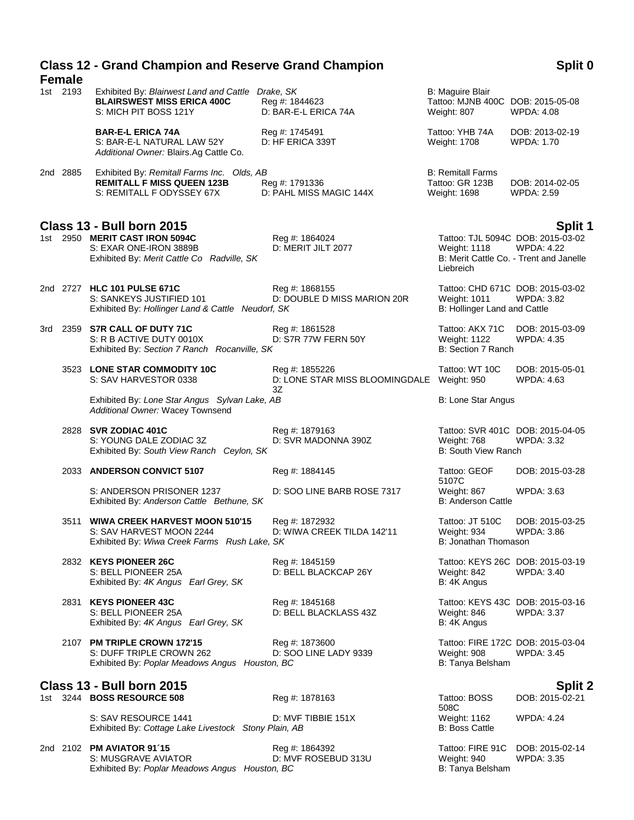# **Class 12 - Grand Champion and Reserve Grand Champion**

| <b>Female</b> |                                                                                                                 |                                                        |                                                                      |                                                                                                   |
|---------------|-----------------------------------------------------------------------------------------------------------------|--------------------------------------------------------|----------------------------------------------------------------------|---------------------------------------------------------------------------------------------------|
| 1st 2193      | Exhibited By: Blairwest Land and Cattle<br><b>BLAIRSWEST MISS ERICA 400C</b><br>S: MICH PIT BOSS 121Y           | Drake, SK<br>Reg #: 1844623<br>D: BAR-E-L ERICA 74A    | B: Maguire Blair<br>Tattoo: MJNB 400C DOB: 2015-05-08<br>Weight: 807 | <b>WPDA: 4.08</b>                                                                                 |
|               | <b>BAR-E-L ERICA 74A</b><br>S: BAR-E-L NATURAL LAW 52Y<br>Additional Owner: Blairs.Ag Cattle Co.                | Reg #: 1745491<br>D: HF ERICA 339T                     | Tattoo: YHB 74A<br>Weight: 1708                                      | DOB: 2013-02-19<br><b>WPDA: 1.70</b>                                                              |
| 2nd 2885      | Exhibited By: Remitall Farms Inc. Olds, AB<br><b>REMITALL F MISS QUEEN 123B</b><br>S: REMITALL F ODYSSEY 67X    | Reg #: 1791336<br>D: PAHL MISS MAGIC 144X              | <b>B: Remitall Farms</b><br>Tattoo: GR 123B<br>Weight: 1698          | DOB: 2014-02-05<br>WPDA: 2.59                                                                     |
|               | <b>Class 13 - Bull born 2015</b>                                                                                |                                                        |                                                                      | Split 1                                                                                           |
|               | 1st 2950 MERIT CAST IRON 5094C<br>S: EXAR ONE-IRON 3889B<br>Exhibited By: Merit Cattle Co Radville, SK          | Reg #: 1864024<br>D: MERIT JILT 2077                   | <b>Weight: 1118</b><br>Liebreich                                     | Tattoo: TJL 5094C DOB: 2015-03-02<br><b>WPDA: 4.22</b><br>B: Merit Cattle Co. - Trent and Janelle |
|               | 2nd 2727 HLC 101 PULSE 671C<br>S: SANKEYS JUSTIFIED 101<br>Exhibited By: Hollinger Land & Cattle Neudorf, SK    | Reg #: 1868155<br>D: DOUBLE D MISS MARION 20R          | <b>Weight: 1011</b><br>B: Hollinger Land and Cattle                  | Tattoo: CHD 671C DOB: 2015-03-02<br>WPDA: 3.82                                                    |
|               | 3rd 2359 S7R CALL OF DUTY 71C<br>S: R B ACTIVE DUTY 0010X<br>Exhibited By: Section 7 Ranch Rocanville, SK       | Reg #: 1861528<br>D: S7R 77W FERN 50Y                  | Tattoo: AKX 71C<br><b>Weight: 1122</b><br>B: Section 7 Ranch         | DOB: 2015-03-09<br><b>WPDA: 4.35</b>                                                              |
|               | 3523 LONE STAR COMMODITY 10C<br>S: SAV HARVESTOR 0338                                                           | Reg #: 1855226<br>D: LONE STAR MISS BLOOMINGDALE<br>3Z | Tattoo: WT 10C<br>Weight: 950                                        | DOB: 2015-05-01<br><b>WPDA: 4.63</b>                                                              |
|               | Exhibited By: Lone Star Angus Sylvan Lake, AB<br>Additional Owner: Wacey Townsend                               |                                                        | B: Lone Star Angus                                                   |                                                                                                   |
|               | 2828 SVR ZODIAC 401C<br>S: YOUNG DALE ZODIAC 3Z<br>Exhibited By: South View Ranch Ceylon, SK                    | Reg #: 1879163<br>D: SVR MADONNA 390Z                  | Weight: 768<br>B: South View Ranch                                   | Tattoo: SVR 401C DOB: 2015-04-05<br><b>WPDA: 3.32</b>                                             |
|               | 2033 ANDERSON CONVICT 5107                                                                                      | Reg #: 1884145                                         | Tattoo: GEOF<br>5107C                                                | DOB: 2015-03-28                                                                                   |
|               | S: ANDERSON PRISONER 1237<br>Exhibited By: Anderson Cattle Bethune, SK                                          | D: SOO LINE BARB ROSE 7317                             | Weight: 867<br><b>B: Anderson Cattle</b>                             | <b>WPDA: 3.63</b>                                                                                 |
|               | 3511 WIWA CREEK HARVEST MOON 510'15<br>S: SAV HARVEST MOON 2244<br>Exhibited By: Wiwa Creek Farms Rush Lake, SK | Reg #: 1872932<br>D: WIWA CREEK TILDA 142'11           | Tattoo: JT 510C<br>Weight: 934<br>B: Jonathan Thomason               | DOB: 2015-03-25<br>WPDA: 3.86                                                                     |
|               | 2832 KEYS PIONEER 26C<br>S: BELL PIONEER 25A<br>Exhibited By: 4K Angus Earl Grey, SK                            | Reg #: 1845159<br>D: BELL BLACKCAP 26Y                 | Weight: 842<br>B: 4K Angus                                           | Tattoo: KEYS 26C DOB: 2015-03-19<br>WPDA: 3.40                                                    |
|               | 2831 KEYS PIONEER 43C<br>S: BELL PIONEER 25A<br>Exhibited By: 4K Angus Earl Grey, SK                            | Reg #: 1845168<br>D: BELL BLACKLASS 43Z                | Weight: 846<br>B: 4K Angus                                           | Tattoo: KEYS 43C DOB: 2015-03-16<br><b>WPDA: 3.37</b>                                             |
|               | 2107 PM TRIPLE CROWN 172'15<br>S: DUFF TRIPLE CROWN 262<br>Exhibited By: Poplar Meadows Angus Houston, BC       | Reg #: 1873600<br>D: SOO LINE LADY 9339                | Weight: 908<br>B: Tanya Belsham                                      | Tattoo: FIRE 172C DOB: 2015-03-04<br><b>WPDA: 3.45</b>                                            |
|               | <b>Class 13 - Bull born 2015</b>                                                                                |                                                        |                                                                      | <b>Split 2</b>                                                                                    |
|               | 1st 3244 BOSS RESOURCE 508                                                                                      | Reg #: 1878163                                         | Tattoo: BOSS<br>508C                                                 | DOB: 2015-02-21                                                                                   |
|               | S: SAV RESOURCE 1441<br>Exhibited By: Cottage Lake Livestock Stony Plain, AB                                    | D: MVF TIBBIE 151X                                     | Weight: 1162<br><b>B: Boss Cattle</b>                                | WPDA: 4.24                                                                                        |

2nd 2102 **PM AVIATOR 91´15 Reg #: 1864392** Tattoo: FIRE 91C DOB: 2015-02-14<br>S: MUSGRAVE AVIATOR **D: MVF ROSEBUD 313U** Weight: 940 WPDA: 3.35 S: MUSGRAVE AVIATOR D: MVF ROSEBUD 313U Weight: 940 WPDA: 3.35<br>Exhibited By: Poplar Meadows Angus Houston, BC BC B: Tanya Belsham B: Tanya Belsham Exhibited By: Poplar Meadows Angus Houston, BC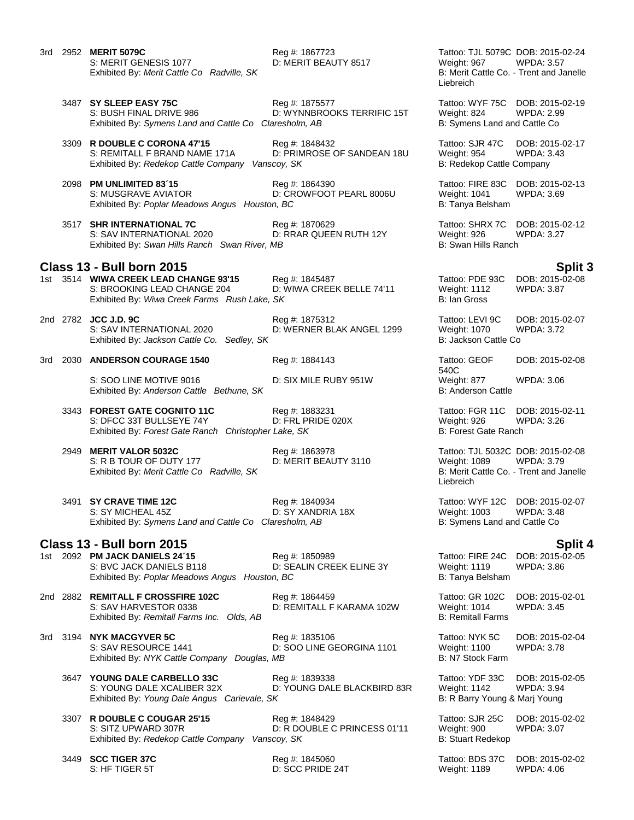|     |      | 3rd 2952 <b>MERIT 5079C</b><br>S: MERIT GENESIS 1077<br>Exhibited By: Merit Cattle Co Radville, SK                   | Reg #: 1867723<br>D: MERIT BEAUTY 8517                      | Tattoo: TJL 5079C DOB: 2015-02-24<br><b>WPDA: 3.57</b><br>Weight: 967<br>B: Merit Cattle Co. - Trent and Janelle<br>Liebreich |                                      |
|-----|------|----------------------------------------------------------------------------------------------------------------------|-------------------------------------------------------------|-------------------------------------------------------------------------------------------------------------------------------|--------------------------------------|
|     |      | 3487 SY SLEEP EASY 75C<br>S: BUSH FINAL DRIVE 986<br>Exhibited By: Symens Land and Cattle Co Claresholm, AB          | Reg #: 1875577<br>D: WYNNBROOKS TERRIFIC 15T                | Tattoo: WYF 75C DOB: 2015-02-19<br>Weight: 824<br>B: Symens Land and Cattle Co                                                | <b>WPDA: 2.99</b>                    |
|     |      | 3309 R DOUBLE C CORONA 47'15<br>S: REMITALL F BRAND NAME 171A<br>Exhibited By: Redekop Cattle Company                | Reg #: 1848432<br>D: PRIMROSE OF SANDEAN 18U<br>Vanscoy, SK | Tattoo: SJR 47C<br>Weight: 954<br>B: Redekop Cattle Company                                                                   | DOB: 2015-02-17<br><b>WPDA: 3.43</b> |
|     |      | 2098 PM UNLIMITED 83'15<br>S: MUSGRAVE AVIATOR<br>Exhibited By: Poplar Meadows Angus Houston, BC                     | Reg #: 1864390<br>D: CROWFOOT PEARL 8006U                   | Tattoo: FIRE 83C<br>Weight: 1041<br>B: Tanya Belsham                                                                          | DOB: 2015-02-13<br>WPDA: 3.69        |
|     |      | 3517 SHR INTERNATIONAL 7C<br>S: SAV INTERNATIONAL 2020<br>Exhibited By: Swan Hills Ranch Swan River, MB              | Reg #: 1870629<br>D: RRAR QUEEN RUTH 12Y                    | Tattoo: SHRX 7C<br>Weight: 926<br>B: Swan Hills Ranch                                                                         | DOB: 2015-02-12<br><b>WPDA: 3.27</b> |
|     |      | <b>Class 13 - Bull born 2015</b>                                                                                     |                                                             |                                                                                                                               | <b>Split 3</b>                       |
|     |      | 1st 3514 WIWA CREEK LEAD CHANGE 93'15<br>S: BROOKING LEAD CHANGE 204<br>Exhibited By: Wiwa Creek Farms Rush Lake, SK | Reg #: 1845487<br>D: WIWA CREEK BELLE 74'11                 | Tattoo: PDE 93C<br>Weight: 1112<br><b>B: Ian Gross</b>                                                                        | DOB: 2015-02-08<br><b>WPDA: 3.87</b> |
|     |      | 2nd 2782 JCC J.D. 9C<br>S: SAV INTERNATIONAL 2020<br>Sedley, SK<br>Exhibited By: Jackson Cattle Co.                  | Reg #: 1875312<br>D: WERNER BLAK ANGEL 1299                 | Tattoo: LEVI 9C<br>Weight: 1070<br>B: Jackson Cattle Co                                                                       | DOB: 2015-02-07<br><b>WPDA: 3.72</b> |
|     |      | 3rd 2030 ANDERSON COURAGE 1540                                                                                       | Reg #: 1884143                                              | Tattoo: GEOF<br>540C                                                                                                          | DOB: 2015-02-08                      |
|     |      | S: SOO LINE MOTIVE 9016<br>Exhibited By: Anderson Cattle Bethune, SK                                                 | D: SIX MILE RUBY 951W                                       | Weight: 877<br><b>B: Anderson Cattle</b>                                                                                      | WPDA: 3.06                           |
|     |      | 3343 FOREST GATE COGNITO 11C<br>S: DFCC 33T BULLSEYE 74Y<br>Exhibited By: Forest Gate Ranch Christopher Lake, SK     | Reg #: 1883231<br>D: FRL PRIDE 020X                         | Tattoo: FGR 11C<br>Weight: 926<br><b>B: Forest Gate Ranch</b>                                                                 | DOB: 2015-02-11<br><b>WPDA: 3.26</b> |
|     | 2949 | <b>MERIT VALOR 5032C</b><br>S: R B TOUR OF DUTY 177<br>Exhibited By: Merit Cattle Co Radville, SK                    | Reg #: 1863978<br>D: MERIT BEAUTY 3110                      | Tattoo: TJL 5032C DOB: 2015-02-08<br>Weight: 1089<br>B: Merit Cattle Co. - Trent and Janelle<br>Liebreich                     | <b>WPDA: 3.79</b>                    |
|     |      | 3491 SY CRAVE TIME 12C<br>S: SY MICHEAL 45Z<br>Exhibited By: Symens Land and Cattle Co Claresholm, AB                | Reg #: 1840934<br>D: SY XANDRIA 18X                         | Tattoo: WYF 12C DOB: 2015-02-07<br><b>Weight: 1003</b><br>B: Symens Land and Cattle Co                                        | <b>WPDA: 3.48</b>                    |
|     |      | <b>Class 13 - Bull born 2015</b>                                                                                     |                                                             |                                                                                                                               | <b>Split 4</b>                       |
|     |      | 1st 2092 PM JACK DANIELS 24'15<br>S: BVC JACK DANIELS B118<br>Exhibited By: Poplar Meadows Angus Houston, BC         | Reg #: 1850989<br>D: SEALIN CREEK ELINE 3Y                  | Tattoo: FIRE 24C<br>Weight: 1119<br>B: Tanya Belsham                                                                          | DOB: 2015-02-05<br><b>WPDA: 3.86</b> |
|     |      | 2nd 2882 REMITALL F CROSSFIRE 102C<br>S: SAV HARVESTOR 0338<br>Exhibited By: Remitall Farms Inc. Olds, AB            | Reg #: 1864459<br>D: REMITALL F KARAMA 102W                 | Tattoo: GR 102C<br>Weight: 1014<br><b>B: Remitall Farms</b>                                                                   | DOB: 2015-02-01<br>WPDA: 3.45        |
| 3rd |      | 3194 NYK MACGYVER 5C<br>S: SAV RESOURCE 1441<br>Exhibited By: NYK Cattle Company Douglas, MB                         | Reg #: 1835106<br>D: SOO LINE GEORGINA 1101                 | Tattoo: NYK 5C<br><b>Weight: 1100</b><br>B: N7 Stock Farm                                                                     | DOB: 2015-02-04<br><b>WPDA: 3.78</b> |
|     |      | 3647 YOUNG DALE CARBELLO 33C<br>S: YOUNG DALE XCALIBER 32X<br>Exhibited By: Young Dale Angus Carievale, SK           | Reg #: 1839338<br>D: YOUNG DALE BLACKBIRD 83R               | Tattoo: YDF 33C<br><b>Weight: 1142</b><br>B: R Barry Young & Marj Young                                                       | DOB: 2015-02-05<br>WPDA: 3.94        |
|     |      | 3307 R DOUBLE C COUGAR 25'15<br>S: SITZ UPWARD 307R<br>Exhibited By: Redekop Cattle Company Vanscoy, SK              | Reg #: 1848429<br>D: R DOUBLE C PRINCESS 01'11              | Tattoo: SJR 25C<br>Weight: 900<br><b>B: Stuart Redekop</b>                                                                    | DOB: 2015-02-02<br><b>WPDA: 3.07</b> |

D: SCC PRIDE 24T

**3449 SCC TIGER 37C** Reg #: 1845060 Reg **Example 24T** Tattoo: BDS 37C DOB: 2015-02-02<br>S: HF TIGER 5T D: SCC PRIDE 24T Weight: 1189 WPDA: 4.06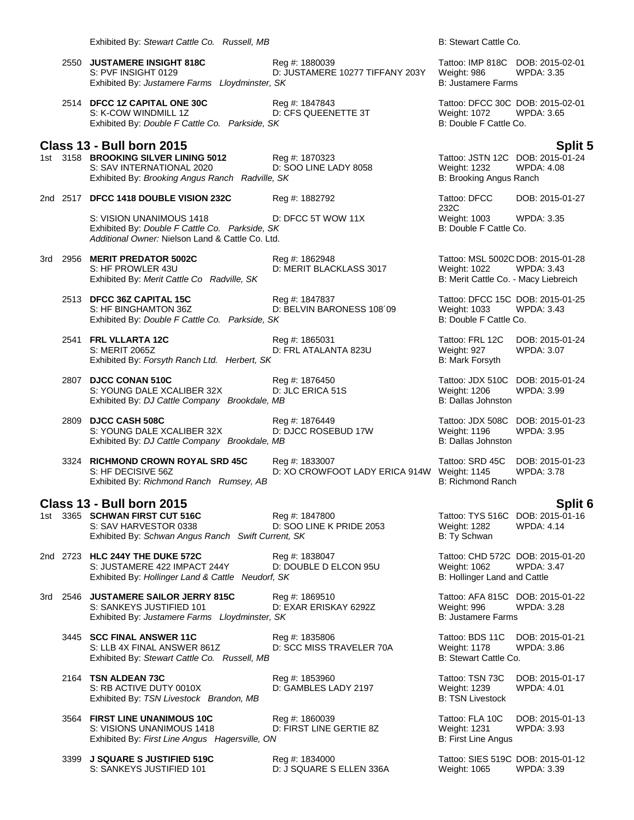Exhibited By: *Stewart Cattle Co. Russell, MB* B: Stewart Cattle Co.

- 2550 **JUSTAMERE INSIGHT 818C** Reg #: 1880039 Tattoo: IMP 818C DOB: 2015-02-01 S: PVF INSIGHT 0129 D: JUSTAMERE 10277 TIFFANY 203Y Exhibited By: Justamere Farms Lloydminster, SK B: Justamere Farms **B:** Justamere Farms
- 2514 **DFCC 1Z CAPITAL ONE 30C** Reg #: 1847843 Tattoo: DFCC 30C DOB: 2015-02-01 S: K-COW WINDMILL 1Z D: CFS QUEENETTE 3T Weight: 1072 WPDA: 3.65 Exhibited By: *Double F Cattle Co. Parkside, SK* B: Double F Cattle Co.

**Class 13 - Bull born 2015 Split 5** 1st 3158 **BROOKING SILVER LINING 5012** Reg #: 1870323 Tattoo: JSTN 12C DOB: 2015-0<br>S: SAV INTERNATIONAL 2020 D: SOO LINE LADY 8058 Weight: 1232 WPDA: 4.08 S: SAV INTERNATIONAL 2020 D: SOO LINE LADY 8058 Weight: 1232 WPDA<br>Exhibited By: *Brooking Angus Ranch Radville, SK* B: Brooking Angus Ranch Exhibited By: *Brooking Angus Ranch Radville, SK* 

## 2nd 2517 **DFCC 1418 DOUBLE VISION 232C** Reg #: 1882792 Tattoo: DFCC

S: VISION UNANIMOUS 1418 D: DFCC 5T WOW 11X Weight: 1003 WPDA: 3.35<br>
Exhibited By: Double F Cattle Co. Parkside, SK B: Double F Cattle Co. Exhibited By: *Double F Cattle Co. Parkside, SK Additional Owner:* Nielson Land & Cattle Co. Ltd.

3rd 2956 **MERIT PREDATOR 5002C** Reg #: 1862948 Tattoo: MSL 5002C DOB: 2015-01-28 Exhibited By: *Merit Cattle Co Radville, SK* B: Merit Cattle Co. - Macy Liebreich

D: MERIT BLACKLASS 3017

- 2513 **DFCC 36Z CAPITAL 15C** Reg #: 1847837 Tattoo: DFCC 15C DOB: 2015-01-25 S: HF BINGHAMTON 36Z D: BELVIN BARONESS 108'09 Weight: 1033 WPDA: 3.43 Exhibited By: *Double F Cattle Co. Parkside, SK* B: Double F Cattle Co.
- 2541 **FRL VLLARTA 12C** Reg #: 1865031 Tattoo: FRL 12C DOB: 2015-01-24 S: MERIT 2065Z D: FRL ATALANTA 823U Weight: 927 WPDA: 3.07 Exhibited By: *Forsyth Ranch Ltd. Herbert, SK* B: Mark Forsyth
- 2807 **DJCC CONAN 510C** Reg #: 1876450 Tattoo: JDX 510C DOB: 2015-01-24 S: YOUNG DALE XCALIBER 32X D: JLC ERICA 51S<br>
Exhibited By: DJ Cattle Company Brookdale. MB<br>
B: Dallas Johnston Exhibited By: *DJ Cattle Company Brookdale, MB*
- 2809 **DJCC CASH 508C** Reg #: 1876449 Tattoo: JDX 508C DOB: 2015-01-23 S: YOUNG DALE XCALIBER 32X D: DJCC ROSEBUD 17W Weight: 1196<br>Exhibited By: DJ Cattle Company Brookdale. MB<br>B: Dallas Johnston Exhibited By: *DJ Cattle Company Brookdale, MB*
- 3324 **RICHMOND CROWN ROYAL SRD 45C** Reg #: 1833007 Tattoo: SRD 45C DOB: 2015-01-23 Exhibited By: *Richmond Ranch Rumsey, AB*

## **Class 13 - Bull born 2015 Split 6**

1st 3365 **SCHWAN FIRST CUT 516C** Reg #: 1847800 Tattoo: TYS 516C DOB: 2015-01-16 S: SAV HARVESTOR 0338 D: SOO LINE K PRIDE 2053 Weight: 1282 WPDA: 4.14 Exhibited By: *Schwan Angus Ranch Swift Current, SK* B: Ty Schwan

2nd 2723 **HLC 244Y THE DUKE 572C** Reg #: 1838047 Tattoo: CHD 572C DOB: 2015-01-20 S: JUSTAMERE 422 IMPACT 244Y Exhibited By: *Hollinger Land & Cattle Neudorf, SK* B: *Hollinger Land and Cattle Publicatle By: Hollinger Land and Cattle* 

3rd 2546 **JUSTAMERE SAILOR JERRY 815C** Reg #: 1869510 Tattoo: AFA 815C DOB: 2015-01-22 S: SANKEYS JUSTIFIED 101 D: EXAR ERISKAY 6292Z Weight: 996 WPDA: 3.28 Exhibited By: *Justamere Farms Lloydminster, SK* B: Justamere Farms

3445 **SCC FINAL ANSWER 11C** Reg #: 1835806 Tattoo: BDS 11C DOB: 2015-01-21<br>S: LLB 4X FINAL ANSWER 861Z D: SCC MISS TRAVELER 70A Weight: 1178 WPDA: 3.86 S: LLB 4X FINAL ANSWER 861Z Exhibited By: *Stewart Cattle Co. Russell, MB* B: Stewart Cattle Co. **Russell**, MB

2164 **TSN ALDEAN 73C** Reg #: 1853960 Reg **Example 2164** Tattoo: TSN 73C DOB: 2015-01-17<br>S: RB ACTIVE DUTY 0010X D: GAMBLES LADY 2197 Weight: 1239 WPDA: 4.01 Exhibited By: TSN Livestock Brandon, MB

3564 **FIRST LINE UNANIMOUS 10C** Reg #: 1860039 Tattoo: FLA 10C DOB: 2015-01-13<br>S: VISIONS UNANIMOUS 1418 D: FIRST LINE GERTIE 8Z Weight: 1231 WPDA: 3.93 S: VISIONS UNANIMOUS 1418 Exhibited By: *First Line Angus Hagersville, ON* B: First Line Angus

3399 **J SQUARE S JUSTIFIED 519C** Reg #: 1834000 Tattoo: SIES 519C DOB: 2015-01-12

232C<br>Weight: 1003 DOB: 2015-01-27

S: XO CROWFOOT LADY ERICA 914W Weight: 1145<br>B: Richmond Ranch

D: GAMBLES LADY 2197 Weight: 1239 WPDA: 4.01<br>B: TSN Livestock

S: SANKEYS JUSTIFIED 101 D: J SQUARE S ELLEN 336A Weight: 1065 WPDA: 3.39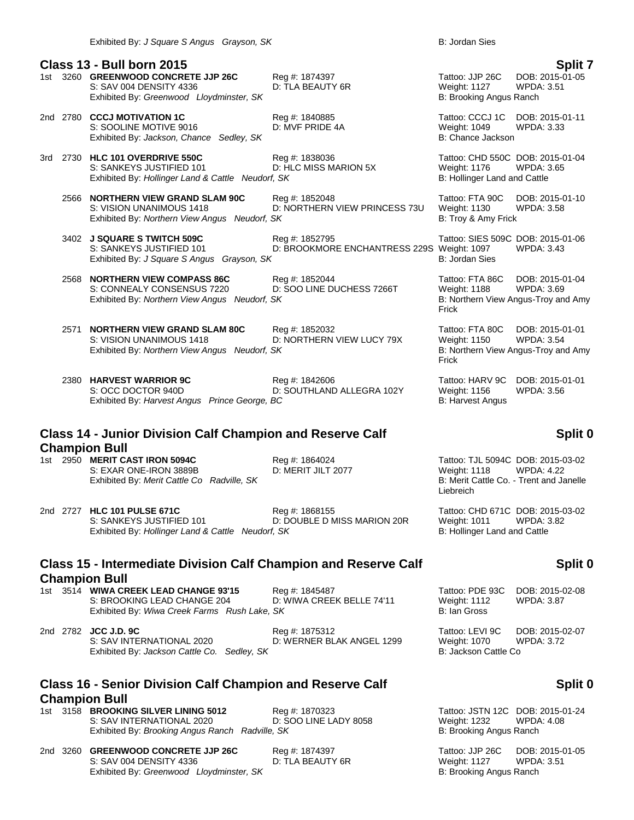## **Class 13 - Bull born 2015 Split 7** 1st 3260 **GREENWOOD CONCRETE JJP 26C** Reg #: 1874397 Tattoo: JJP 26C DOB: 2015-01-05 S: SAV 004 DENSITY 4336 D: TLA BEAUTY 6R Weight: 1127 WPDA: 3.51 Exhibited By: *Greenwood Lloydminster, SK* B: Brooking Angus Ranch 2nd 2780 **CCCJ MOTIVATION 1C** Reg #: 1840885 Tattoo: CCCJ 1C DOB: 2015-01-11 S: SOOLINE MOTIVE 9016 D: MVF PRIDE 4A Weight: 1049<br>Exhibited By: Jackson, Chance Sedley, SK B: Chance Jackson Exhibited By: Jackson, Chance Sedley, SK 3rd 2730 **HLC 101 OVERDRIVE 550C** Reg #: 1838036 Tattoo: CHD 550C DOB: 2015-01-04 D: HLC MISS MARION 5X Weight: 1176 WPDA: 3.65<br>f, SK B: Hollinger Land and Cattle Exhibited By: *Hollinger Land & Cattle Neudorf, SK* 2566 **NORTHERN VIEW GRAND SLAM 90C** Reg #: 1852048 Tattoo: FTA 90C DOB: 2015-01-10 D: NORTHERN VIEW PRINCESS 73U Weight: 1130 WPDA: 3.58 Exhibited By: *Northern View Angus Neudorf, SK* B: Troy & Amy Frick 3402 **J SQUARE S TWITCH 509C** Reg #: 1852795 Tattoo: SIES 509C DOB: 2015-01-06 S: SANKEYS JUSTIFIED 101 D: BROOKMORE ENCHANTRESS 229S Weight: 1097 WPDA: 3.43 Exhibited By: *J Square S Angus Grayson, SK* B: Jordan Sies 2568 **NORTHERN VIEW COMPASS 86C** Reg #: 1852044 Tattoo: FTA 86C DOB: 2015-01-04 S: CONNEALY CONSENSUS 7220 D: SOO LINE DUCHESS 7266T Weight: 1188 WPDA: 3.69 Exhibited By: *Northern View Angus Neudorf, SK* B: Northern View Angus-Troy and Amy Frick 2571 **NORTHERN VIEW GRAND SLAM 80C** Reg #: 1852032 Tattoo: FTA 80C DOB: 2015-01-01 S: VISION UNANIMOUS 1418 D: NORTHERN VIEW LUCY 79X Weight: 1150 WPDA: 3.54 Exhibited By: *Northern View Angus Neudorf, SK* B: Northern View Angus-Troy and Amy

2380 **HARVEST WARRIOR 9C** Reg #: 1842606 Tattoo: HARV 9C DOB: 2015-01-01 S: OCC DOCTOR 940D D: SOUTHLAND ALLEGRA 102Y Weight: 1156 WPDA: 3.56 Exhibited By: *Harvest Angus Prince George, BC* B: Harvest Angus B: Harvest Angus

# **Class 14 - Junior Division Calf Champion and Reserve Calf Champion Bull<br>1st 2950 MERIT CAST IRON 5094C**

S: EXAR ONE-IRON 3889B D: MERIT JILT 2077 Weight: 1118 WPDA: 4.22 Exhibited By: *Merit Cattle Co Radville, SK* B: Merit Cattle Co. - Trent and Janelle

2nd 2727 **HLC 101 PULSE 671C** Reg #: 1868155 Tattoo: CHD 671C DOB: 2015-03-02 S: SANKEYS JUSTIFIED 101 D: DOUBLE D MISS MARION 20R Weight: 1011 WPDA: 3.82 Exhibited By: *Hollinger Land & Cattle Neudorf, SK* B: *Hollinger Land and Cattle* 

## **Class 15 - Intermediate Division Calf Champion and Reserve Calf Champion Bull**

1st 3514 **WIWA CREEK LEAD CHANGE 93'15** Req #: 1845487 S: BROOKING LEAD CHANGE 204 D: WIWA CREEK BELLE 74'11 Exhibited By: Wiwa Creek Farms Rush Lake, SK

2nd 2782 **JCC J.D. 9C Reg #: 1875312** Reg #: 1875312 S: SAV INTERNATIONAL 2020 D: WERNER BLAK ANGEL 1299 Weight: 1070 WPDA: 3.72<br>Exhibited By: Jackson Cattle Co. Sedley, SK B: Jackson Cattle Co Exhibited By: Jackson Cattle Co. Sedley, SK

## **Class 16 - Senior Division Calf Champion and Reserve Calf Champion Bull**

- 1st 3158 **BROOKING SILVER LINING 5012** Reg #: 1870323 Tattoo: JSTN 12C DOB: 2015-01-24<br>S: SAV INTERNATIONAL 2020 D: SOO LINE LADY 8058 Weight: 1232 WPDA: 4.08 S: SAV INTERNATIONAL 2020 D: SOO LINE LADY 8058 Weight: 1232 Exhibited By: *Brooking Angus Ranch Radville, SK* B: **Brooking Angus Ranch** B: Brooking Angus Ranch
- 2nd 3260 **GREENWOOD CONCRETE JJP 26C** Reg #: 1874397 Tattoo: JJP 26C DOB: 2015-01-05 S: SAV 004 DENSITY 4336 D: TLA BEAUTY 6R Weight: 1127 WPDA: 3.51 Exhibited By: *Greenwood Lloydminster, SK* B: Brooking Angus Ranch

Frick

# **Split 0**

Reg #: 1864024 Tattoo: TJL 5094C DOB: 2015-03-02 Liebreich

## **Split 0**

| Tattoo: PDE 93C<br><b>Weight: 1112</b><br>B: Ian Gross | DOB: 2015-02-08<br><b>WPDA: 3.87</b> |
|--------------------------------------------------------|--------------------------------------|
| $Tathon + F/H$ QC                                      | DOR: 2015, 02, 07                    |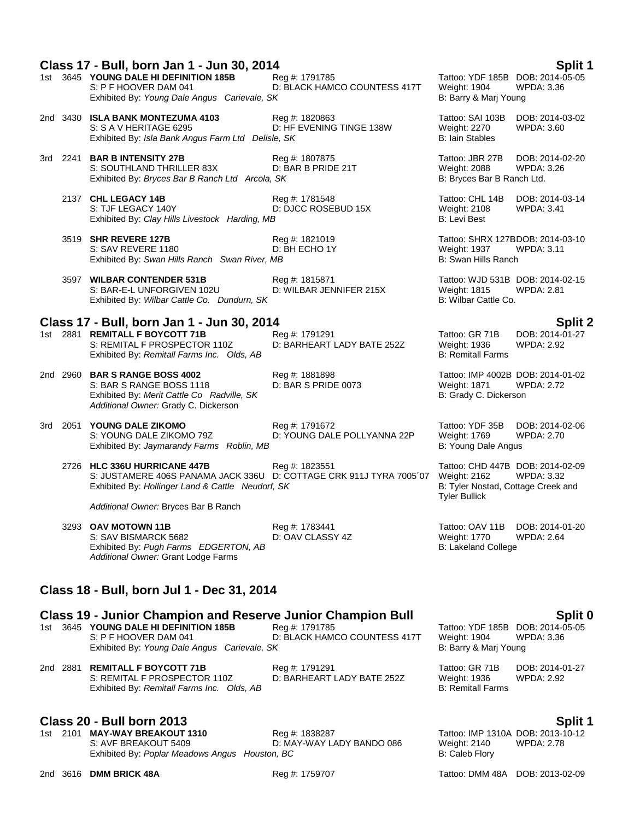|          | Class 17 - Bull, born Jan 1 - Jun 30, 2014                                                                                                               |                                                |                                                                                                                       | <b>Split 1</b>                       |
|----------|----------------------------------------------------------------------------------------------------------------------------------------------------------|------------------------------------------------|-----------------------------------------------------------------------------------------------------------------------|--------------------------------------|
|          | 1st 3645 YOUNG DALE HI DEFINITION 185B<br>S: P F HOOVER DAM 041<br>Exhibited By: Young Dale Angus Carievale, SK                                          | Reg #: 1791785<br>D: BLACK HAMCO COUNTESS 417T | Tattoo: YDF 185B DOB: 2014-05-05<br>Weight: 1904<br>B: Barry & Marj Young                                             | <b>WPDA: 3.36</b>                    |
|          | 2nd 3430 ISLA BANK MONTEZUMA 4103<br>S: S A V HERITAGE 6295<br>Exhibited By: Isla Bank Angus Farm Ltd Delisle, SK                                        | Reg #: 1820863<br>D: HF EVENING TINGE 138W     | Tattoo: SAI 103B<br>Weight: 2270<br><b>B: Iain Stables</b>                                                            | DOB: 2014-03-02<br><b>WPDA: 3.60</b> |
|          | 3rd 2241 BAR B INTENSITY 27B<br>S: SOUTHLAND THRILLER 83X<br>Exhibited By: Bryces Bar B Ranch Ltd Arcola, SK                                             | Reg #: 1807875<br>D: BAR B PRIDE 21T           | Tattoo: JBR 27B<br>Weight: 2088<br>B: Bryces Bar B Ranch Ltd.                                                         | DOB: 2014-02-20<br><b>WPDA: 3.26</b> |
|          | 2137 CHL LEGACY 14B<br>S: TJF LEGACY 140Y<br>Exhibited By: Clay Hills Livestock Harding, MB                                                              | Reg #: 1781548<br>D: DJCC ROSEBUD 15X          | Tattoo: CHL 14B<br>Weight: 2108<br>B: Levi Best                                                                       | DOB: 2014-03-14<br><b>WPDA: 3.41</b> |
|          | 3519 SHR REVERE 127B<br>S: SAV REVERE 1180<br>Exhibited By: Swan Hills Ranch Swan River, MB                                                              | Reg #: 1821019<br>D: BH ECHO 1Y                | Tattoo: SHRX 127BDOB: 2014-03-10<br>Weight: 1937<br>B: Swan Hills Ranch                                               | <b>WPDA: 3.11</b>                    |
|          | 3597 WILBAR CONTENDER 531B<br>S: BAR-E-L UNFORGIVEN 102U<br>Exhibited By: Wilbar Cattle Co. Dundurn, SK                                                  | Reg #: 1815871<br>D: WILBAR JENNIFER 215X      | Tattoo: WJD 531B DOB: 2014-02-15<br><b>Weight: 1815</b><br>B: Wilbar Cattle Co.                                       | <b>WPDA: 2.81</b>                    |
|          | Class 17 - Bull, born Jan 1 - Jun 30, 2014                                                                                                               |                                                |                                                                                                                       | <b>Split 2</b>                       |
|          | 1st 2881 REMITALL F BOYCOTT 71B<br>S: REMITAL F PROSPECTOR 110Z<br>Exhibited By: Remitall Farms Inc. Olds, AB                                            | Reg #: 1791291<br>D: BARHEART LADY BATE 252Z   | Tattoo: GR 71B<br><b>Weight: 1936</b><br><b>B: Remitall Farms</b>                                                     | DOB: 2014-01-27<br><b>WPDA: 2.92</b> |
|          | 2nd 2960 BAR S RANGE BOSS 4002<br>S: BAR S RANGE BOSS 1118<br>Exhibited By: Merit Cattle Co Radville, SK<br>Additional Owner: Grady C. Dickerson         | Reg #: 1881898<br>D: BAR S PRIDE 0073          | Tattoo: IMP 4002B DOB: 2014-01-02<br>Weight: 1871<br>B: Grady C. Dickerson                                            | <b>WPDA: 2.72</b>                    |
|          | 3rd 2051 YOUNG DALE ZIKOMO<br>S: YOUNG DALE ZIKOMO 79Z<br>Exhibited By: Jaymarandy Farms Roblin, MB                                                      | Reg #: 1791672<br>D: YOUNG DALE POLLYANNA 22P  | Tattoo: YDF 35B<br>Weight: 1769<br>B: Young Dale Angus                                                                | DOB: 2014-02-06<br><b>WPDA: 2.70</b> |
|          | 2726 HLC 336U HURRICANE 447B<br>S: JUSTAMERE 406S PANAMA JACK 336U D: COTTAGE CRK 911J TYRA 7005'07<br>Exhibited By: Hollinger Land & Cattle Neudorf, SK | Reg #: 1823551                                 | Tattoo: CHD 447B DOB: 2014-02-09<br><b>Weight: 2162</b><br>B: Tyler Nostad, Cottage Creek and<br><b>Tyler Bullick</b> | <b>WPDA: 3.32</b>                    |
|          | Additional Owner: Bryces Bar B Ranch                                                                                                                     |                                                |                                                                                                                       |                                      |
|          | 3293 OAV MOTOWN 11B<br>S: SAV BISMARCK 5682<br>Exhibited By: Pugh Farms EDGERTON, AB<br>Additional Owner: Grant Lodge Farms                              | Reg #: 1783441<br>D: OAV CLASSY 4Z             | Tattoo: OAV 11B<br><b>Weight: 1770</b><br><b>B: Lakeland College</b>                                                  | DOB: 2014-01-20<br><b>WPDA: 2.64</b> |
|          | Class 18 - Bull, born Jul 1 - Dec 31, 2014                                                                                                               |                                                |                                                                                                                       |                                      |
|          | <b>Class 19 - Junior Champion and Reserve Junior Champion Bull</b>                                                                                       |                                                |                                                                                                                       | Split 0                              |
|          | 1st 3645 YOUNG DALE HI DEFINITION 185B<br>S: P F HOOVER DAM 041<br>Exhibited By: Young Dale Angus Carievale, SK                                          | Reg #: 1791785<br>D: BLACK HAMCO COUNTESS 417T | Tattoo: YDF 185B DOB: 2014-05-05<br>Weight: 1904<br>B: Barry & Marj Young                                             | WPDA: 3.36                           |
| 2nd 2881 | <b>REMITALL F BOYCOTT 71B</b><br>S: REMITAL F PROSPECTOR 110Z<br>Exhibited By: Remitall Farms Inc. Olds, AB                                              | Reg #: 1791291<br>D: BARHEART LADY BATE 252Z   | Tattoo: GR 71B<br>Weight: 1936<br><b>B: Remitall Farms</b>                                                            | DOB: 2014-01-27<br><b>WPDA: 2.92</b> |

# **Class 20 - Bull born 2013**<br>1912 12-01-101 1810 1814 1914 1838287 1st 2101 MAY-WAY BREAKOUT 1310

1st 2101 **MAY-WAY BREAKOUT 1310** S: AVF BREAKOUT 5409 D: MAY-WAY LADY BANDO 086 Weight: 2140 WPDA: 2.78 Exhibited By: Poplar Meadows Angus Houston, BC **Billion Communist Caleb Flory** B: Caleb Flory

2nd 3616 **DMM BRICK 48A** Reg #: 1759707 Tattoo: DMM 48A DOB: 2013-02-09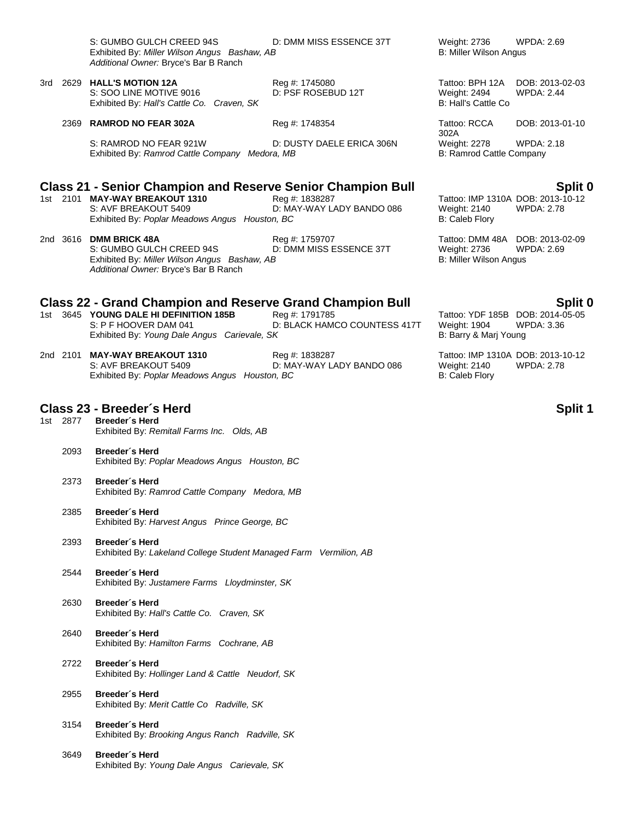| S: GUMBO GULCH CREED 94S                     | D: DN |  |
|----------------------------------------------|-------|--|
| Exhibited By: Miller Wilson Angus Bashaw, AB |       |  |
| Additional Owner: Bryce's Bar B Ranch        |       |  |

3rd 2629 **HALL'S MOTION 12A** Reg #: 1745080 Tattoo: BPH 12A DOB: 2013-02-03 S: SOO LINE MOTIVE 9016 D: PSF ROSEBUD 12T Weight: 2494 WPDA: 2.44 Exhibited By: *Hall's Cattle Co. Craven, SK* B: Hall's Cattle Co. Craven, SK

2369 **RAMROD NO FEAR 302A** Reg #: 1748354 Tattoo: RCCA

S: RAMROD NO FEAR 921W D: DUSTY DAELE ERICA 306N Weight: 2278 WPDA: 2.18 Exhibited By: *Ramrod Cattle Company Medora, MB* B: Ramrod Cattle Company

## **Class 21 - Senior Champion and Reserve Senior Champion Bull Split 0**

- 1st 2101 **MAY-WAY BREAKOUT 1310** Reg #: 1838287 Tattoo: IMP 1310A DOB: 2013-10-12 D: MAY-WAY LADY BANDO 086 Weight: 2140 WPDA: 2.78 Exhibited By: *Poplar Meadows Angus Houston, BC* B: Caleb Flory
- 2nd 3616 **DMM BRICK 48A** Reg #: 1759707 Tattoo: DMM 48A DOB: 2013-02-09 D: DMM MISS ESSENCE 37T Exhibited By: *Miller Wilson Angus Bashaw, AB* B: Miller Wilson Angus B: Miller Wilson Angus *Additional Owner:* Bryce's Bar B Ranch

## **Class 22 - Grand Champion and Reserve Grand Champion Bull Split 0**

- 1st 3645 **YOUNG DALE HI DEFINITION 185B** Reg #: 1791785 Tattoo: YDF 185B DOB: 2014-05-05 S: P F HOOVER DAM 041 D: BLACK HAMCO COUNTESS 417T Weight: 1904 WPDA: 3.36 Exhibited By: *Young Dale Angus Carievale, SK* B: Barry & Marj Young
- 2nd 2101 **MAY-WAY BREAKOUT 1310** Reg #: 1838287 Tattoo: IMP 1310A DOB: 2013-10-12 S: AVF BREAKOUT 5409 D: MAY-WAY LADY BANDO 086 Weight: 2140 WPDA: 2.78 Exhibited By: *Poplar Meadows Angus Houston, BC* B: Caleb Flory

## **Class 23 - Breeder´s Herd Split 1**

- 1st 2877 **Breeder´s Herd** Exhibited By: *Remitall Farms Inc. Olds, AB*
	- 2093 **Breeder´s Herd** Exhibited By: *Poplar Meadows Angus Houston, BC*
	- 2373 **Breeder´s Herd** Exhibited By: *Ramrod Cattle Company Medora, MB*
	- 2385 **Breeder´s Herd** Exhibited By: *Harvest Angus Prince George, BC*
	- 2393 **Breeder´s Herd** Exhibited By: *Lakeland College Student Managed Farm Vermilion, AB*
	- 2544 **Breeder´s Herd** Exhibited By: *Justamere Farms Lloydminster, SK*
	- 2630 **Breeder´s Herd** Exhibited By: *Hall's Cattle Co. Craven, SK*
	- 2640 **Breeder´s Herd** Exhibited By: *Hamilton Farms Cochrane, AB*
	- 2722 **Breeder´s Herd** Exhibited By: *Hollinger Land & Cattle Neudorf, SK*
	- 2955 **Breeder´s Herd** Exhibited By: *Merit Cattle Co Radville, SK*
	- 3154 **Breeder´s Herd** Exhibited By: *Brooking Angus Ranch Radville, SK*
	- 3649 **Breeder´s Herd** Exhibited By: *Young Dale Angus Carievale, SK*

AM MISS ESSENCE 37T Weight: 2736 WPDA: 2.69 B: Miller Wilson Angus

302A DOB: 2013-01-10